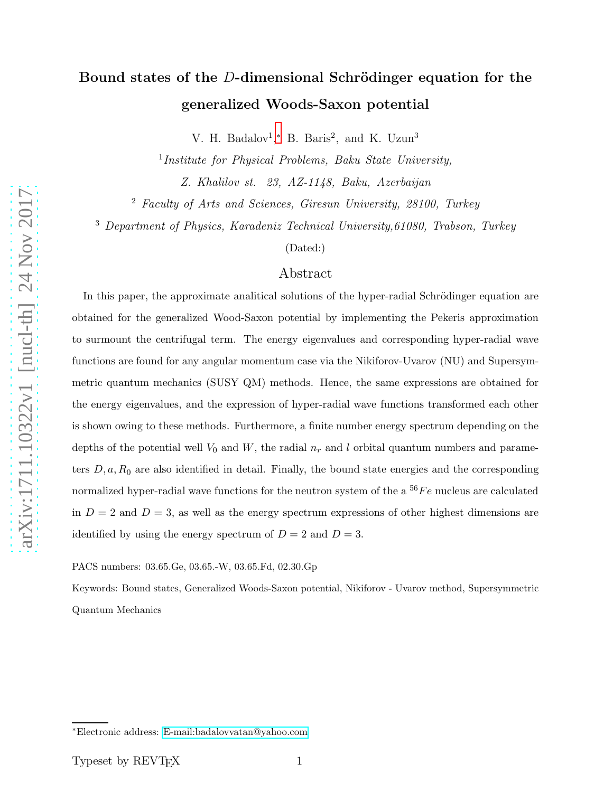# Bound states of the D-dimensional Schrödinger equation for the generalized Woods-Saxon potential

V. H. Badalov<sup>1</sup>,\* B. Baris<sup>2</sup>, and K. Uzun<sup>3</sup>

<sup>1</sup>Institute for Physical Problems, Baku State University,

Z. Khalilov st. 23, AZ-1148, Baku, Azerbaijan

<sup>2</sup> Faculty of Arts and Sciences, Giresun University, 28100, Turkey

<sup>3</sup> Department of Physics, Karadeniz Technical University,61080, Trabson, Turkey

(Dated:)

### Abstract

In this paper, the approximate analitical solutions of the hyper-radial Schrödinger equation are obtained for the generalized Wood-Saxon potential by implementing the Pekeris approximation to surmount the centrifugal term. The energy eigenvalues and corresponding hyper-radial wave functions are found for any angular momentum case via the Nikiforov-Uvarov (NU) and Supersymmetric quantum mechanics (SUSY QM) methods. Hence, the same expressions are obtained for the energy eigenvalues, and the expression of hyper-radial wave functions transformed each other is shown owing to these methods. Furthermore, a finite number energy spectrum depending on the depths of the potential well  $V_0$  and  $W$ , the radial  $n_r$  and l orbital quantum numbers and parameters  $D, a, R_0$  are also identified in detail. Finally, the bound state energies and the corresponding normalized hyper-radial wave functions for the neutron system of the a  $^{56}Fe$  nucleus are calculated in  $D = 2$  and  $D = 3$ , as well as the energy spectrum expressions of other highest dimensions are identified by using the energy spectrum of  $D = 2$  and  $D = 3$ .

PACS numbers: 03.65.Ge, 03.65.-W, 03.65.Fd, 02.30.Gp

Keywords: Bound states, Generalized Woods-Saxon potential, Nikiforov - Uvarov method, Supersymmetric Quantum Mechanics

<span id="page-0-0"></span><sup>∗</sup>Electronic address: [E-mail:badalovvatan@yahoo.com](mailto:E-mail:badalovvatan@yahoo.com)

Typeset by REVT<sub>E</sub>X 1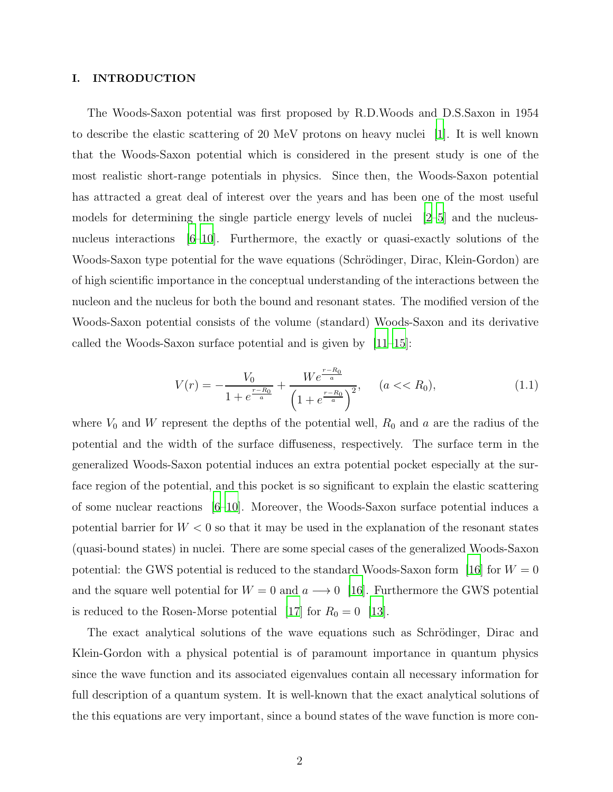#### I. INTRODUCTION

The Woods-Saxon potential was first proposed by R.D.Woods and D.S.Saxon in 1954 to describe the elastic scattering of 20 MeV protons on heavy nuclei [\[1\]](#page-18-0). It is well known that the Woods-Saxon potential which is considered in the present study is one of the most realistic short-range potentials in physics. Since then, the Woods-Saxon potential has attracted a great deal of interest over the years and has been one of the most useful models for determining the single particle energy levels of nuclei  $[2-5]$  and the nucleus-nucleus interactions [\[6](#page-18-3)[–10\]](#page-18-4). Furthermore, the exactly or quasi-exactly solutions of the Woods-Saxon type potential for the wave equations (Schrödinger, Dirac, Klein-Gordon) are of high scientific importance in the conceptual understanding of the interactions between the nucleon and the nucleus for both the bound and resonant states. The modified version of the Woods-Saxon potential consists of the volume (standard) Woods-Saxon and its derivative called the Woods-Saxon surface potential and is given by [\[11](#page-18-5)[–15](#page-18-6)]:

$$
V(r) = -\frac{V_0}{1 + e^{\frac{r - R_0}{a}}} + \frac{We^{\frac{r - R_0}{a}}}{\left(1 + e^{\frac{r - R_0}{a}}\right)^2}, \quad (a << R_0),\tag{1.1}
$$

where  $V_0$  and W represent the depths of the potential well,  $R_0$  and a are the radius of the potential and the width of the surface diffuseness, respectively. The surface term in the generalized Woods-Saxon potential induces an extra potential pocket especially at the surface region of the potential, and this pocket is so significant to explain the elastic scattering of some nuclear reactions [\[6](#page-18-3)[–10\]](#page-18-4). Moreover, the Woods-Saxon surface potential induces a potential barrier for  $W < 0$  so that it may be used in the explanation of the resonant states (quasi-bound states) in nuclei. There are some special cases of the generalized Woods-Saxon potential: the GWS potential is reduced to the standard Woods-Saxon form [\[16\]](#page-18-7) for  $W = 0$ and the square well potential for  $W = 0$  and  $a \rightarrow 0$  [\[16](#page-18-7)]. Furthermore the GWS potential is reduced to the Rosen-Morse potential [\[17\]](#page-18-8) for  $R_0 = 0$  [\[13\]](#page-18-9).

The exact analytical solutions of the wave equations such as Schrödinger, Dirac and Klein-Gordon with a physical potential is of paramount importance in quantum physics since the wave function and its associated eigenvalues contain all necessary information for full description of a quantum system. It is well-known that the exact analytical solutions of the this equations are very important, since a bound states of the wave function is more con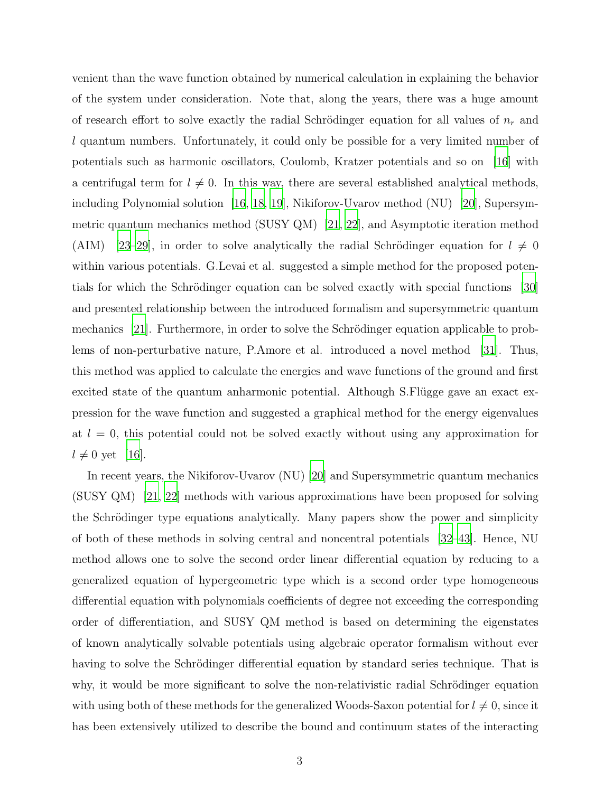venient than the wave function obtained by numerical calculation in explaining the behavior of the system under consideration. Note that, along the years, there was a huge amount of research effort to solve exactly the radial Schrödinger equation for all values of  $n_r$  and l quantum numbers. Unfortunately, it could only be possible for a very limited number of potentials such as harmonic oscillators, Coulomb, Kratzer potentials and so on [\[16\]](#page-18-7) with a centrifugal term for  $l \neq 0$ . In this way, there are several established analytical methods, including Polynomial solution [\[16,](#page-18-7) [18,](#page-18-10) [19](#page-18-11)], Nikiforov-Uvarov method (NU) [\[20](#page-18-12)], Supersymmetric quantum mechanics method (SUSY QM) [\[21](#page-18-13), [22\]](#page-18-14), and Asymptotic iteration method (AIM) [\[23](#page-18-15)[–29](#page-19-0)], in order to solve analytically the radial Schrödinger equation for  $l \neq 0$ within various potentials. G.Levai et al. suggested a simple method for the proposed potentials for which the Schrödinger equation can be solved exactly with special functions  $\vert 30 \vert$ and presented relationship between the introduced formalism and supersymmetric quantum mechanics [\[21](#page-18-13)]. Furthermore, in order to solve the Schrödinger equation applicable to problems of non-perturbative nature, P.Amore et al. introduced a novel method [\[31\]](#page-19-2). Thus, this method was applied to calculate the energies and wave functions of the ground and first excited state of the quantum anharmonic potential. Although S. Flügge gave an exact expression for the wave function and suggested a graphical method for the energy eigenvalues at  $l = 0$ , this potential could not be solved exactly without using any approximation for  $l \neq 0$  yet [\[16\]](#page-18-7).

In recent years, the Nikiforov-Uvarov (NU) [\[20](#page-18-12)] and Supersymmetric quantum mechanics (SUSY QM) [\[21](#page-18-13), [22\]](#page-18-14) methods with various approximations have been proposed for solving the Schrödinger type equations analytically. Many papers show the power and simplicity of both of these methods in solving central and noncentral potentials [\[32](#page-19-3)[–43\]](#page-19-4). Hence, NU method allows one to solve the second order linear differential equation by reducing to a generalized equation of hypergeometric type which is a second order type homogeneous differential equation with polynomials coefficients of degree not exceeding the corresponding order of differentiation, and SUSY QM method is based on determining the eigenstates of known analytically solvable potentials using algebraic operator formalism without ever having to solve the Schrödinger differential equation by standard series technique. That is why, it would be more significant to solve the non-relativistic radial Schrödinger equation with using both of these methods for the generalized Woods-Saxon potential for  $l \neq 0$ , since it has been extensively utilized to describe the bound and continuum states of the interacting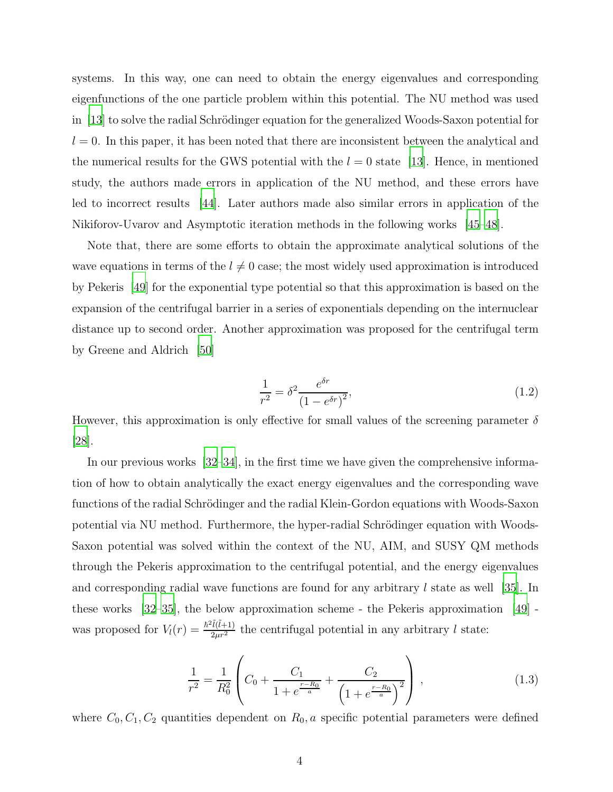systems. In this way, one can need to obtain the energy eigenvalues and corresponding eigenfunctions of the one particle problem within this potential. The NU method was used in  $[13]$  to solve the radial Schrödinger equation for the generalized Woods-Saxon potential for  $l = 0$ . In this paper, it has been noted that there are inconsistent between the analytical and the numerical results for the GWS potential with the  $l = 0$  state [\[13\]](#page-18-9). Hence, in mentioned study, the authors made errors in application of the NU method, and these errors have led to incorrect results [\[44\]](#page-19-5). Later authors made also similar errors in application of the Nikiforov-Uvarov and Asymptotic iteration methods in the following works [\[45](#page-19-6)[–48\]](#page-19-7).

Note that, there are some efforts to obtain the approximate analytical solutions of the wave equations in terms of the  $l \neq 0$  case; the most widely used approximation is introduced by Pekeris [\[49](#page-19-8)] for the exponential type potential so that this approximation is based on the expansion of the centrifugal barrier in a series of exponentials depending on the internuclear distance up to second order. Another approximation was proposed for the centrifugal term by Greene and Aldrich [\[50](#page-19-9)]

$$
\frac{1}{r^2} = \delta^2 \frac{e^{\delta r}}{(1 - e^{\delta r})^2},
$$
\n(1.2)

However, this approximation is only effective for small values of the screening parameter  $\delta$ [\[28\]](#page-19-10).

In our previous works [\[32](#page-19-3)[–34\]](#page-19-11), in the first time we have given the comprehensive information of how to obtain analytically the exact energy eigenvalues and the corresponding wave functions of the radial Schrödinger and the radial Klein-Gordon equations with Woods-Saxon potential via NU method. Furthermore, the hyper-radial Schrödinger equation with Woods-Saxon potential was solved within the context of the NU, AIM, and SUSY QM methods through the Pekeris approximation to the centrifugal potential, and the energy eigenvalues and corresponding radial wave functions are found for any arbitrary  $l$  state as well [\[35\]](#page-19-12). In these works [\[32](#page-19-3)[–35\]](#page-19-12), the below approximation scheme - the Pekeris approximation [\[49\]](#page-19-8) was proposed for  $V_l(r) = \frac{\hbar^2 \tilde{l}(\tilde{l}+1)}{2\mu r^2}$  the centrifugal potential in any arbitrary l state:

$$
\frac{1}{r^2} = \frac{1}{R_0^2} \left( C_0 + \frac{C_1}{1 + e^{\frac{r - R_0}{a}}} + \frac{C_2}{\left( 1 + e^{\frac{r - R_0}{a}} \right)^2} \right),
$$
\n(1.3)

where  $C_0, C_1, C_2$  quantities dependent on  $R_0, a$  specific potential parameters were defined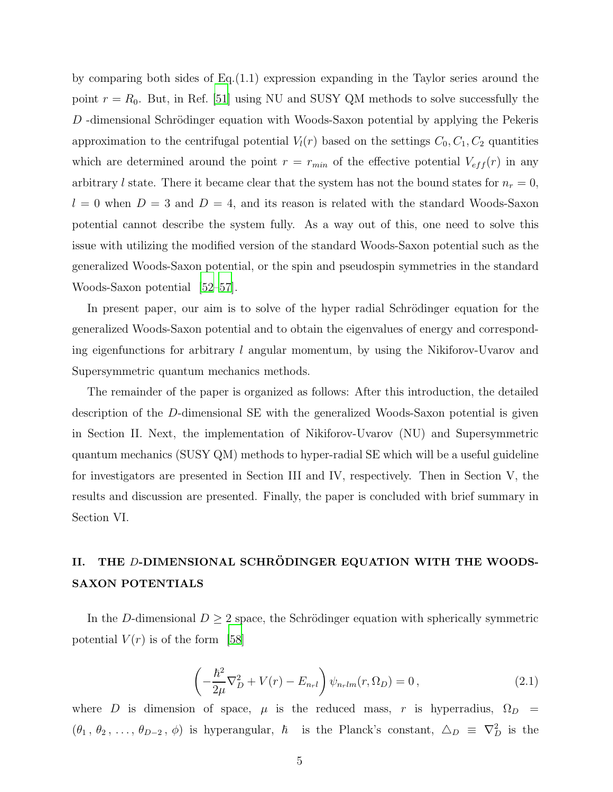by comparing both sides of Eq.(1.1) expression expanding in the Taylor series around the point  $r = R_0$ . But, in Ref. [\[51](#page-19-13)] using NU and SUSY QM methods to solve successfully the  $D$ -dimensional Schrödinger equation with Woods-Saxon potential by applying the Pekeris approximation to the centrifugal potential  $V_l(r)$  based on the settings  $C_0, C_1, C_2$  quantities which are determined around the point  $r = r_{min}$  of the effective potential  $V_{eff}(r)$  in any arbitrary l state. There it became clear that the system has not the bound states for  $n_r = 0$ ,  $l = 0$  when  $D = 3$  and  $D = 4$ , and its reason is related with the standard Woods-Saxon potential cannot describe the system fully. As a way out of this, one need to solve this issue with utilizing the modified version of the standard Woods-Saxon potential such as the generalized Woods-Saxon potential, or the spin and pseudospin symmetries in the standard Woods-Saxon potential [\[52](#page-19-14)[–57](#page-19-15)].

In present paper, our aim is to solve of the hyper radial Schrödinger equation for the generalized Woods-Saxon potential and to obtain the eigenvalues of energy and corresponding eigenfunctions for arbitrary  $l$  angular momentum, by using the Nikiforov-Uvarov and Supersymmetric quantum mechanics methods.

The remainder of the paper is organized as follows: After this introduction, the detailed description of the D-dimensional SE with the generalized Woods-Saxon potential is given in Section II. Next, the implementation of Nikiforov-Uvarov (NU) and Supersymmetric quantum mechanics (SUSY QM) methods to hyper-radial SE which will be a useful guideline for investigators are presented in Section III and IV, respectively. Then in Section V, the results and discussion are presented. Finally, the paper is concluded with brief summary in Section VI.

## II. THE D-DIMENSIONAL SCHRÖDINGER EQUATION WITH THE WOODS-SAXON POTENTIALS

In the D-dimensional  $D \geq 2$  space, the Schrödinger equation with spherically symmetric potential  $V(r)$  is of the form [\[58](#page-20-0)]

$$
\left(-\frac{\hbar^2}{2\mu}\nabla_D^2 + V(r) - E_{n_r l}\right)\psi_{n_r lm}(r,\Omega_D) = 0\,,\tag{2.1}
$$

where D is dimension of space,  $\mu$  is the reduced mass, r is hyperradius,  $\Omega_D =$  $(\theta_1, \theta_2, \ldots, \theta_{D-2}, \phi)$  is hyperangular,  $\hbar$  is the Planck's constant,  $\Delta_D \equiv \nabla_D^2$  is the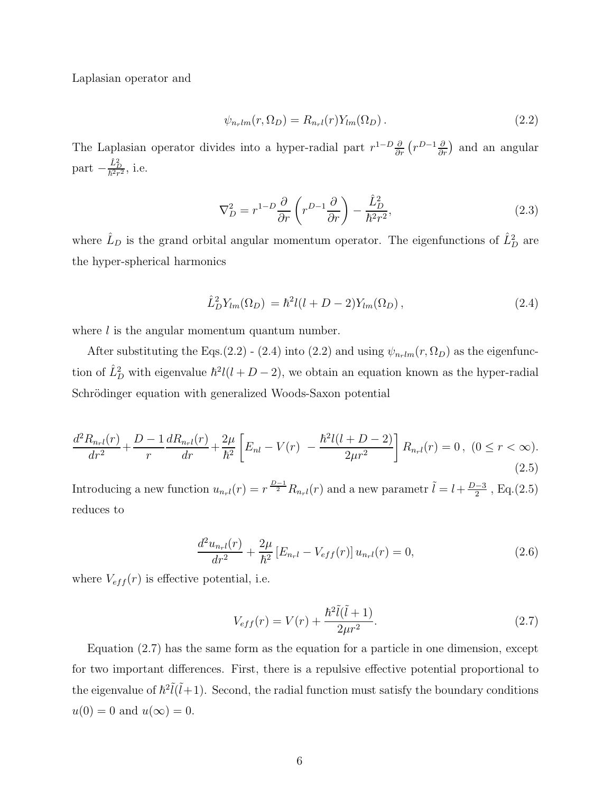Laplasian operator and

$$
\psi_{n_rlm}(r,\Omega_D) = R_{n_rl}(r)Y_{lm}(\Omega_D). \qquad (2.2)
$$

The Laplasian operator divides into a hyper-radial part  $r^{1-D} \frac{\partial}{\partial r} (r^{D-1} \frac{\partial}{\partial r})$  and an angular part  $-\frac{\hat{L}_D^2}{\hbar^2 r^2}$ , i.e.

$$
\nabla_D^2 = r^{1-D} \frac{\partial}{\partial r} \left( r^{D-1} \frac{\partial}{\partial r} \right) - \frac{\hat{L}_D^2}{\hbar^2 r^2},\tag{2.3}
$$

where  $\hat{L}_D$  is the grand orbital angular momentum operator. The eigenfunctions of  $\hat{L}_D^2$  are the hyper-spherical harmonics

$$
\hat{L}_D^2 Y_{lm}(\Omega_D) = \hbar^2 l(l+D-2) Y_{lm}(\Omega_D), \qquad (2.4)
$$

where  $l$  is the angular momentum quantum number.

After substituting the Eqs.(2.2) - (2.4) into (2.2) and using  $\psi_{n_rlm}(r, \Omega_D)$  as the eigenfunction of  $\hat{L}_D^2$  with eigenvalue  $\hbar^2 l(l+D-2)$ , we obtain an equation known as the hyper-radial Schrödinger equation with generalized Woods-Saxon potential

$$
\frac{d^2 R_{n+l}(r)}{dr^2} + \frac{D-1}{r} \frac{d R_{n+l}(r)}{dr} + \frac{2\mu}{\hbar^2} \left[ E_{nl} - V(r) \ - \frac{\hbar^2 l(l+D-2)}{2\mu r^2} \right] R_{n+l}(r) = 0 \,, \ (0 \le r < \infty). \tag{2.5}
$$

Introducing a new function  $u_{n+l}(r) = r^{\frac{D-1}{2}} R_{n+l}(r)$  and a new parametr  $\tilde{l} = l + \frac{D-3}{2}$ , Eq.(2.5) reduces to

$$
\frac{d^2u_{n+l}(r)}{dr^2} + \frac{2\mu}{\hbar^2} \left[ E_{n+l} - V_{eff}(r) \right] u_{n+l}(r) = 0, \qquad (2.6)
$$

where  $V_{eff}(r)$  is effective potential, i.e.

$$
V_{eff}(r) = V(r) + \frac{\hbar^2 \tilde{l}(\tilde{l} + 1)}{2\mu r^2}.
$$
\n(2.7)

Equation (2.7) has the same form as the equation for a particle in one dimension, except for two important differences. First, there is a repulsive effective potential proportional to the eigenvalue of  $\hbar^2 l(\tilde{l}+1)$ . Second, the radial function must satisfy the boundary conditions  $u(0) = 0$  and  $u(\infty) = 0$ .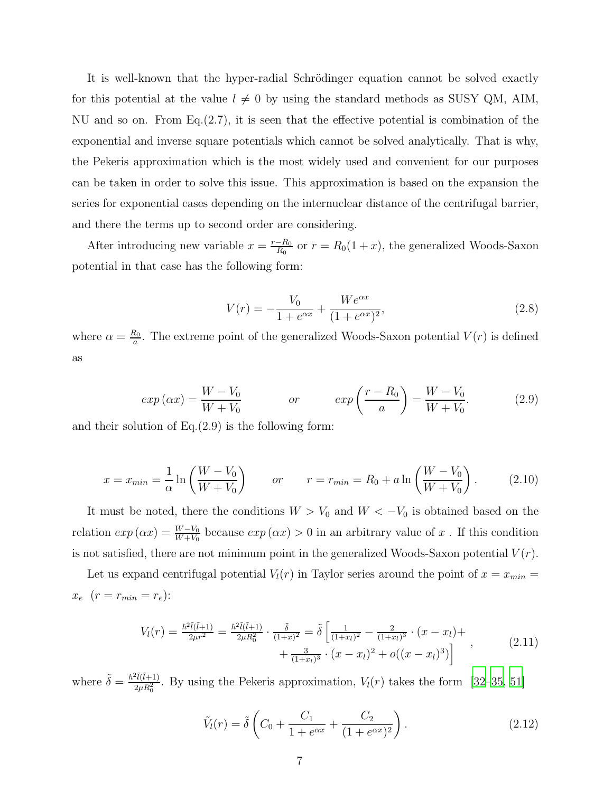It is well-known that the hyper-radial Schrödinger equation cannot be solved exactly for this potential at the value  $l \neq 0$  by using the standard methods as SUSY QM, AIM, NU and so on. From Eq.(2.7), it is seen that the effective potential is combination of the exponential and inverse square potentials which cannot be solved analytically. That is why, the Pekeris approximation which is the most widely used and convenient for our purposes can be taken in order to solve this issue. This approximation is based on the expansion the series for exponential cases depending on the internuclear distance of the centrifugal barrier, and there the terms up to second order are considering.

After introducing new variable  $x = \frac{r - R_0}{R_0}$  or  $r = R_0(1 + x)$ , the generalized Woods-Saxon potential in that case has the following form:

$$
V(r) = -\frac{V_0}{1 + e^{\alpha x}} + \frac{We^{\alpha x}}{(1 + e^{\alpha x})^2},
$$
\n(2.8)

where  $\alpha = \frac{R_0}{a}$  $\frac{a_0}{a}$ . The extreme point of the generalized Woods-Saxon potential  $V(r)$  is defined as

$$
exp(\alpha x) = \frac{W - V_0}{W + V_0} \qquad or \qquad exp\left(\frac{r - R_0}{a}\right) = \frac{W - V_0}{W + V_0}.
$$
 (2.9)

and their solution of Eq.(2.9) is the following form:

$$
x = x_{min} = \frac{1}{\alpha} \ln \left( \frac{W - V_0}{W + V_0} \right) \qquad or \qquad r = r_{min} = R_0 + a \ln \left( \frac{W - V_0}{W + V_0} \right). \tag{2.10}
$$

It must be noted, there the conditions  $W > V_0$  and  $W < -V_0$  is obtained based on the relation  $exp(\alpha x) = \frac{W-V_0}{W+V_0}$  because  $exp(\alpha x) > 0$  in an arbitrary value of x. If this condition is not satisfied, there are not minimum point in the generalized Woods-Saxon potential  $V(r)$ .

Let us expand centrifugal potential  $V_l(r)$  in Taylor series around the point of  $x = x_{min} =$  $x_e\;\; (r=r_{min}=r_e)$ 

$$
V_l(r) = \frac{\hbar^2 \tilde{l}(\tilde{l}+1)}{2\mu r^2} = \frac{\hbar^2 \tilde{l}(\tilde{l}+1)}{2\mu R_0^2} \cdot \frac{\tilde{\delta}}{(1+x)^2} = \tilde{\delta} \left[ \frac{1}{(1+x_l)^2} - \frac{2}{(1+x_l)^3} \cdot (x-x_l) + \frac{3}{(1+x_l)^3} \cdot (x-x_l)^2 + o((x-x_l)^3) \right],
$$
\n(2.11)

where  $\tilde{\delta} = \frac{\hbar^2 \tilde{l}(\tilde{l}+1)}{2 \mu R^2}$  $\frac{2\mu R_0^2}{2\mu R_0^2}$ . By using the Pekeris approximation,  $V_l(r)$  takes the form [\[32](#page-19-3)[–35,](#page-19-12) [51\]](#page-19-13)

$$
\tilde{V}_l(r) = \tilde{\delta} \left( C_0 + \frac{C_1}{1 + e^{\alpha x}} + \frac{C_2}{(1 + e^{\alpha x})^2} \right). \tag{2.12}
$$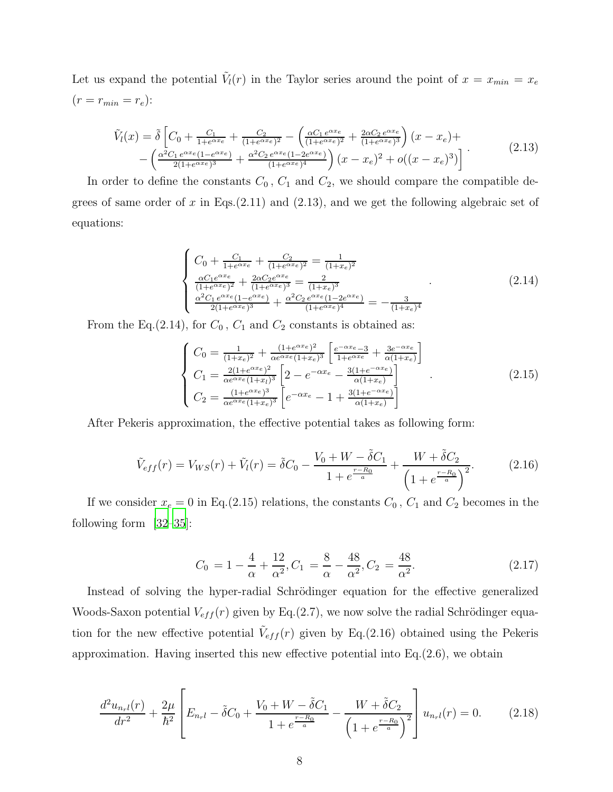Let us expand the potential  $\tilde{V}_l(r)$  in the Taylor series around the point of  $x = x_{min} = x_e$  $(r = r_{min} = r_e):$ 

$$
\tilde{V}_l(x) = \tilde{\delta} \left[ C_0 + \frac{C_1}{1 + e^{\alpha x_e}} + \frac{C_2}{(1 + e^{\alpha x_e})^2} - \left( \frac{\alpha C_1 e^{\alpha x_e}}{(1 + e^{\alpha x_e})^2} + \frac{2\alpha C_2 e^{\alpha x_e}}{(1 + e^{\alpha x_e})^3} \right) (x - x_e) + \left( \frac{\alpha^2 C_1 e^{\alpha x_e} (1 - e^{\alpha x_e})}{2(1 + e^{\alpha x_e})^3} + \frac{\alpha^2 C_2 e^{\alpha x_e} (1 - 2e^{\alpha x_e})}{(1 + e^{\alpha x_e})^4} \right) (x - x_e)^2 + o((x - x_e)^3) \right] \tag{2.13}
$$

In order to define the constants  $C_0$ ,  $C_1$  and  $C_2$ , we should compare the compatible degrees of same order of x in Eqs. $(2.11)$  and  $(2.13)$ , and we get the following algebraic set of equations:

$$
\begin{cases}\nC_0 + \frac{C_1}{1 + e^{\alpha x_e}} + \frac{C_2}{(1 + e^{\alpha x_e})^2} = \frac{1}{(1 + x_e)^2} \\
\frac{\alpha C_1 e^{\alpha x_e}}{(1 + e^{\alpha x_e})^2} + \frac{2\alpha C_2 e^{\alpha x_e}}{(1 + e^{\alpha x_e})^3} = \frac{2}{(1 + x_e)^3} \\
\frac{\alpha^2 C_1 e^{\alpha x_e}(1 - e^{\alpha x_e})}{2(1 + e^{\alpha x_e})^3} + \frac{\alpha^2 C_2 e^{\alpha x_e}(1 - 2e^{\alpha x_e})}{(1 + e^{\alpha x_e})^4} = -\frac{3}{(1 + x_e)^4}\n\end{cases} \tag{2.14}
$$

From the Eq.(2.14), for  $C_0$ ,  $C_1$  and  $C_2$  constants is obtained as:

$$
\begin{cases}\nC_0 = \frac{1}{(1+x_e)^2} + \frac{(1+e^{\alpha x_e})^2}{\alpha e^{\alpha x_e}(1+x_e)^3} \left[ \frac{e^{-\alpha x_e} - 3}{1+e^{\alpha x_e}} + \frac{3e^{-\alpha x_e}}{\alpha(1+x_e)} \right] \\
C_1 = \frac{2(1+e^{\alpha x_e})^2}{\alpha e^{\alpha x_e}(1+x_l)^3} \left[ 2 - e^{-\alpha x_e} - \frac{3(1+e^{-\alpha x_e})}{\alpha(1+x_e)} \right] \\
C_2 = \frac{(1+e^{\alpha x_e})^3}{\alpha e^{\alpha x_e}(1+x_e)^3} \left[ e^{-\alpha x_e} - 1 + \frac{3(1+e^{-\alpha x_e})}{\alpha(1+x_e)} \right]\n\end{cases} \tag{2.15}
$$

After Pekeris approximation, the effective potential takes as following form:

$$
\tilde{V}_{eff}(r) = V_{WS}(r) + \tilde{V}_l(r) = \tilde{\delta}C_0 - \frac{V_0 + W - \tilde{\delta}C_1}{1 + e^{\frac{r - R_0}{a}}} + \frac{W + \tilde{\delta}C_2}{\left(1 + e^{\frac{r - R_0}{a}}\right)^2}.
$$
\n(2.16)

If we consider  $x_e = 0$  in Eq.(2.15) relations, the constants  $C_0$ ,  $C_1$  and  $C_2$  becomes in the following form [\[32](#page-19-3)[–35\]](#page-19-12):

$$
C_0 = 1 - \frac{4}{\alpha} + \frac{12}{\alpha^2}, C_1 = \frac{8}{\alpha} - \frac{48}{\alpha^2}, C_2 = \frac{48}{\alpha^2}.
$$
 (2.17)

Instead of solving the hyper-radial Schrödinger equation for the effective generalized Woods-Saxon potential  $V_{eff}(r)$  given by Eq.(2.7), we now solve the radial Schrödinger equation for the new effective potential  $\tilde{V}_{eff}(r)$  given by Eq.(2.16) obtained using the Pekeris approximation. Having inserted this new effective potential into Eq.(2.6), we obtain

$$
\frac{d^2 u_{n+l}(r)}{dr^2} + \frac{2\mu}{\hbar^2} \left[ E_{n+l} - \tilde{\delta} C_0 + \frac{V_0 + W - \tilde{\delta} C_1}{1 + e^{\frac{r - R_0}{a}}} - \frac{W + \tilde{\delta} C_2}{\left(1 + e^{\frac{r - R_0}{a}}\right)^2} \right] u_{n+l}(r) = 0.
$$
 (2.18)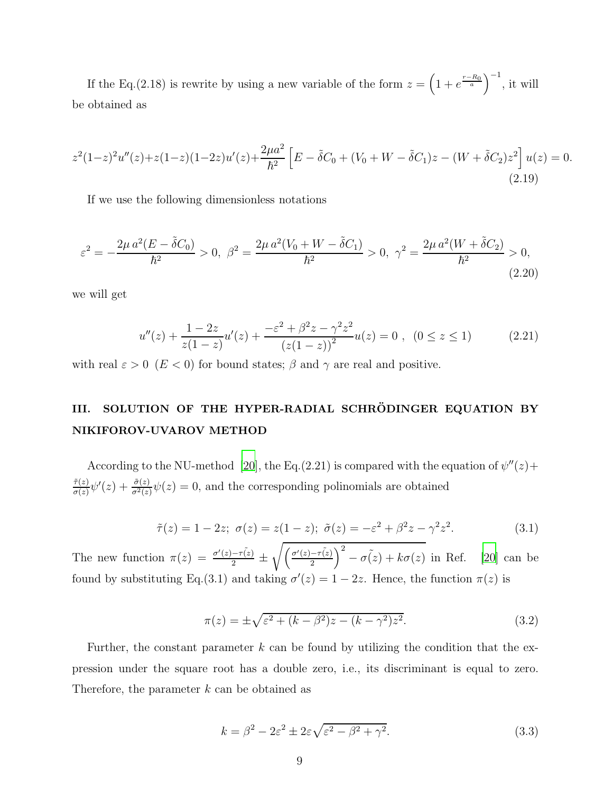If the Eq.(2.18) is rewrite by using a new variable of the form  $z = \left(1 + e^{\frac{r - R_0}{a}}\right)^{-1}$ , it will be obtained as

$$
z^{2}(1-z)^{2}u''(z) + z(1-z)(1-2z)u'(z) + \frac{2\mu a^{2}}{\hbar^{2}} \left[ E - \tilde{\delta}C_{0} + (V_{0} + W - \tilde{\delta}C_{1})z - (W + \tilde{\delta}C_{2})z^{2} \right]u(z) = 0.
$$
\n(2.19)

If we use the following dimensionless notations

$$
\varepsilon^2 = -\frac{2\mu a^2 (E - \tilde{\delta} C_0)}{\hbar^2} > 0, \ \beta^2 = \frac{2\mu a^2 (V_0 + W - \tilde{\delta} C_1)}{\hbar^2} > 0, \ \gamma^2 = \frac{2\mu a^2 (W + \tilde{\delta} C_2)}{\hbar^2} > 0,
$$
\n(2.20)

we will get

$$
u''(z) + \frac{1 - 2z}{z(1 - z)}u'(z) + \frac{-\varepsilon^2 + \beta^2 z - \gamma^2 z^2}{(z(1 - z))^2}u(z) = 0 , \quad (0 \le z \le 1)
$$
 (2.21)

with real  $\varepsilon > 0$  ( $E < 0$ ) for bound states;  $\beta$  and  $\gamma$  are real and positive.

## III. SOLUTION OF THE HYPER-RADIAL SCHRÖDINGER EQUATION BY NIKIFOROV-UVAROV METHOD

According to the NU-method [\[20\]](#page-18-12), the Eq.(2.21) is compared with the equation of  $\psi''(z)$  +  $\tilde{\tau}(z)$  $\frac{\tilde{\tau}(z)}{\sigma(z)}\psi'(z) + \frac{\tilde{\sigma}(z)}{\sigma(z)}\psi(z) = 0$ , and the corresponding polinomials are obtained

$$
\tilde{\tau}(z) = 1 - 2z; \ \sigma(z) = z(1 - z); \ \tilde{\sigma}(z) = -\varepsilon^2 + \beta^2 z - \gamma^2 z^2. \tag{3.1}
$$

The new function  $\pi(z) = \frac{\sigma'(z) - \tau(z)}{2} \pm \frac{\tau'(z)}{2}$  $\sqrt{\left(\frac{\sigma'(z)-\tau(z)}{2}\right)}$  $\int_{0}^{2} -\sigma(z) + k\sigma(z)$  in Ref. [\[20](#page-18-12)] can be found by substituting Eq.(3.1) and taking  $\sigma'(z) = 1 - 2z$ . Hence, the function  $\pi(z)$  is

$$
\pi(z) = \pm \sqrt{\varepsilon^2 + (k - \beta^2)z - (k - \gamma^2)z^2}.
$$
\n(3.2)

Further, the constant parameter  $k$  can be found by utilizing the condition that the expression under the square root has a double zero, i.e., its discriminant is equal to zero. Therefore, the parameter  $k$  can be obtained as

$$
k = \beta^2 - 2\varepsilon^2 \pm 2\varepsilon\sqrt{\varepsilon^2 - \beta^2 + \gamma^2}.
$$
 (3.3)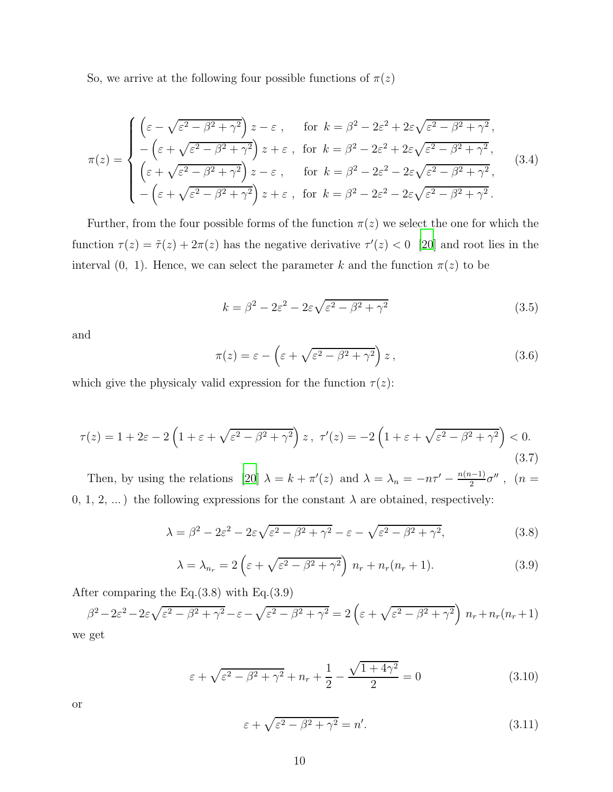So, we arrive at the following four possible functions of  $\pi(z)$ 

$$
\pi(z) = \begin{cases}\n\left(\varepsilon - \sqrt{\varepsilon^2 - \beta^2 + \gamma^2}\right) z - \varepsilon, & \text{for } k = \beta^2 - 2\varepsilon^2 + 2\varepsilon\sqrt{\varepsilon^2 - \beta^2 + \gamma^2}, \\
-\left(\varepsilon + \sqrt{\varepsilon^2 - \beta^2 + \gamma^2}\right) z + \varepsilon, & \text{for } k = \beta^2 - 2\varepsilon^2 + 2\varepsilon\sqrt{\varepsilon^2 - \beta^2 + \gamma^2}, \\
\left(\varepsilon + \sqrt{\varepsilon^2 - \beta^2 + \gamma^2}\right) z - \varepsilon, & \text{for } k = \beta^2 - 2\varepsilon^2 - 2\varepsilon\sqrt{\varepsilon^2 - \beta^2 + \gamma^2}, \\
-\left(\varepsilon + \sqrt{\varepsilon^2 - \beta^2 + \gamma^2}\right) z + \varepsilon, & \text{for } k = \beta^2 - 2\varepsilon^2 - 2\varepsilon\sqrt{\varepsilon^2 - \beta^2 + \gamma^2}.\n\end{cases}
$$
\n(3.4)

Further, from the four possible forms of the function  $\pi(z)$  we select the one for which the function  $\tau(z) = \tilde{\tau}(z) + 2\pi(z)$  has the negative derivative  $\tau'(z) < 0$  [\[20\]](#page-18-12) and root lies in the interval (0, 1). Hence, we can select the parameter k and the function  $\pi(z)$  to be

$$
k = \beta^2 - 2\varepsilon^2 - 2\varepsilon\sqrt{\varepsilon^2 - \beta^2 + \gamma^2}
$$
 (3.5)

and

$$
\pi(z) = \varepsilon - \left(\varepsilon + \sqrt{\varepsilon^2 - \beta^2 + \gamma^2}\right) z, \tag{3.6}
$$

which give the physicaly valid expression for the function  $\tau(z)$ :

$$
\tau(z) = 1 + 2\varepsilon - 2\left(1 + \varepsilon + \sqrt{\varepsilon^2 - \beta^2 + \gamma^2}\right)z, \ \tau'(z) = -2\left(1 + \varepsilon + \sqrt{\varepsilon^2 - \beta^2 + \gamma^2}\right) < 0. \tag{3.7}
$$

Then, by using the relations [\[20](#page-18-12)]  $\lambda = k + \pi'(z)$  and  $\lambda = \lambda_n = -n\tau' - \frac{n(n-1)}{2}\sigma''$ ,  $(n =$ 0, 1, 2, ...) the following expressions for the constant  $\lambda$  are obtained, respectively:

$$
\lambda = \beta^2 - 2\varepsilon^2 - 2\varepsilon\sqrt{\varepsilon^2 - \beta^2 + \gamma^2} - \varepsilon - \sqrt{\varepsilon^2 - \beta^2 + \gamma^2},\tag{3.8}
$$

$$
\lambda = \lambda_{n_r} = 2\left(\varepsilon + \sqrt{\varepsilon^2 - \beta^2 + \gamma^2}\right) n_r + n_r(n_r + 1). \tag{3.9}
$$

After comparing the Eq.(3.8) with Eq.(3.9)

$$
\beta^2 - 2\varepsilon^2 - 2\varepsilon\sqrt{\varepsilon^2 - \beta^2 + \gamma^2} - \varepsilon - \sqrt{\varepsilon^2 - \beta^2 + \gamma^2} = 2\left(\varepsilon + \sqrt{\varepsilon^2 - \beta^2 + \gamma^2}\right) n_r + n_r(n_r + 1)
$$
 we get

$$
\varepsilon + \sqrt{\varepsilon^2 - \beta^2 + \gamma^2} + n_r + \frac{1}{2} - \frac{\sqrt{1 + 4\gamma^2}}{2} = 0
$$
\n(3.10)

or

$$
\varepsilon + \sqrt{\varepsilon^2 - \beta^2 + \gamma^2} = n'.\tag{3.11}
$$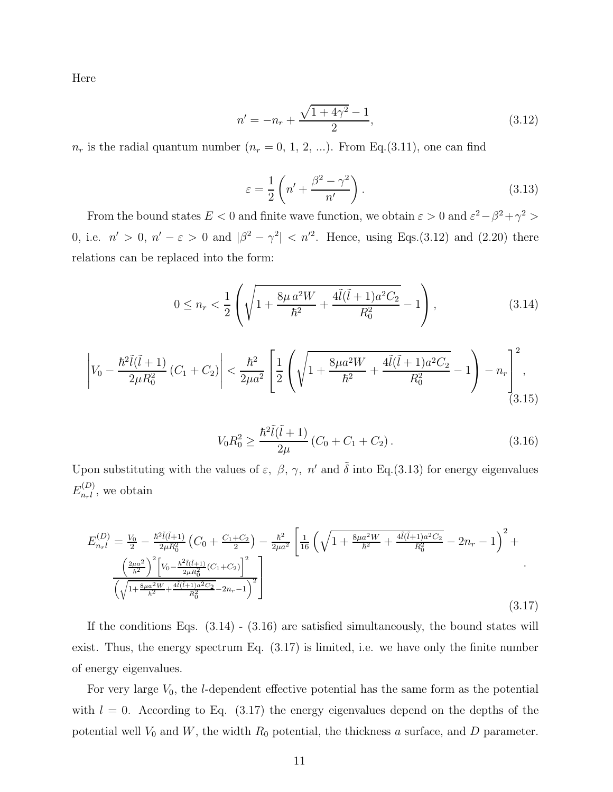Here

$$
n' = -n_r + \frac{\sqrt{1 + 4\gamma^2} - 1}{2},\tag{3.12}
$$

 $n_r$  is the radial quantum number  $(n_r = 0, 1, 2, ...)$ . From Eq.(3.11), one can find

$$
\varepsilon = \frac{1}{2} \left( n' + \frac{\beta^2 - \gamma^2}{n'} \right). \tag{3.13}
$$

From the bound states  $E < 0$  and finite wave function, we obtain  $\varepsilon > 0$  and  $\varepsilon^2 - \beta^2 + \gamma^2 > 0$ 0, i.e.  $n' > 0$ ,  $n' - \varepsilon > 0$  and  $|\beta^2 - \gamma^2| < n'^2$ . Hence, using Eqs.(3.12) and (2.20) there relations can be replaced into the form:

$$
0 \le n_r < \frac{1}{2} \left( \sqrt{1 + \frac{8\mu a^2 W}{\hbar^2} + \frac{4\tilde{l}(\tilde{l} + 1)a^2 C_2}{R_0^2}} - 1 \right),\tag{3.14}
$$

$$
\left| V_0 - \frac{\hbar^2 \tilde{l}(\tilde{l} + 1)}{2\mu R_0^2} \left( C_1 + C_2 \right) \right| < \frac{\hbar^2}{2\mu a^2} \left[ \frac{1}{2} \left( \sqrt{1 + \frac{8\mu a^2 W}{\hbar^2} + \frac{4\tilde{l}(\tilde{l} + 1)a^2 C_2}{R_0^2}} - 1 \right) - n_r \right]_{(3.15)}^2
$$
\n(3.15)

$$
V_0 R_0^2 \ge \frac{\hbar^2 \tilde{l}(\tilde{l} + 1)}{2\mu} (C_0 + C_1 + C_2).
$$
 (3.16)

Upon substituting with the values of  $\varepsilon$ ,  $\beta$ ,  $\gamma$ ,  $n'$  and  $\tilde{\delta}$  into Eq.(3.13) for energy eigenvalues  $E_{n,l}^{(D)}$  $_{nrl}^{(D)}$ , we obtain

$$
E_{n_{r}l}^{(D)} = \frac{V_{0}}{2} - \frac{\hbar^{2}\tilde{l}(\tilde{l}+1)}{2\mu R_{0}^{2}} \left(C_{0} + \frac{C_{1}+C_{2}}{2}\right) - \frac{\hbar^{2}}{2\mu a^{2}} \left[\frac{1}{16} \left(\sqrt{1 + \frac{8\mu a^{2}W}{\hbar^{2}} + \frac{4\tilde{l}(\tilde{l}+1)a^{2}C_{2}}{R_{0}^{2}}} - 2n_{r} - 1\right)^{2} + \frac{\left(\frac{2\mu a^{2}}{\hbar^{2}}\right)^{2} \left[V_{0} - \frac{\hbar^{2}\tilde{l}(\tilde{l}+1)}{2\mu R_{0}^{2}}(C_{1}+C_{2})\right]^{2}}{\left(\sqrt{1 + \frac{8\mu a^{2}W}{\hbar^{2}} + \frac{4\tilde{l}(\tilde{l}+1)a^{2}C_{2}}{R_{0}^{2}}} - 2n_{r} - 1\right)^{2}}\right]
$$
\n(3.17)

If the conditions Eqs.  $(3.14) - (3.16)$  are satisfied simultaneously, the bound states will exist. Thus, the energy spectrum Eq. (3.17) is limited, i.e. we have only the finite number of energy eigenvalues.

For very large  $V_0$ , the *l*-dependent effective potential has the same form as the potential with  $l = 0$ . According to Eq. (3.17) the energy eigenvalues depend on the depths of the potential well  $V_0$  and  $W$ , the width  $R_0$  potential, the thickness a surface, and  $D$  parameter.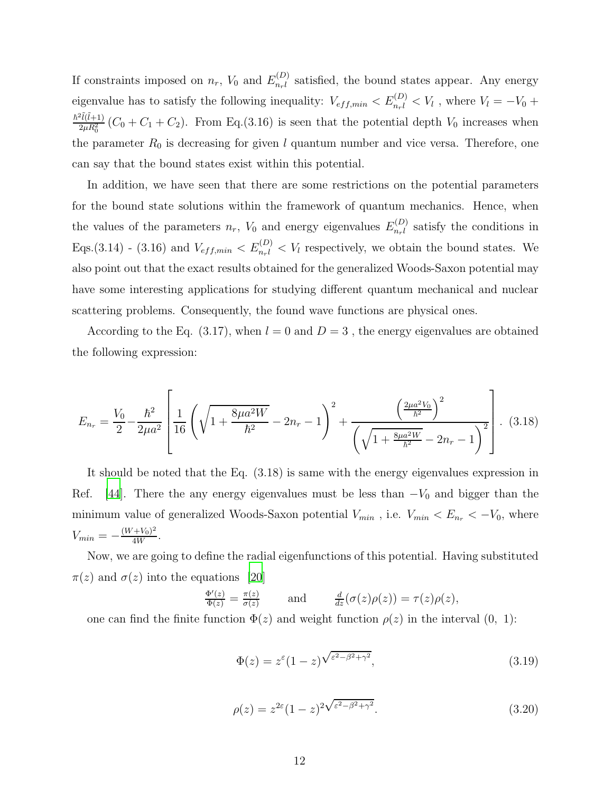If constraints imposed on  $n_r$ ,  $V_0$  and  $E_{n_r l}^{(D)}$  $n_r^{(D)}$  satisfied, the bound states appear. Any energy eigenvalue has to satisfy the following inequality:  $V_{eff,min} < E_{n,l}^{(D)} < V_l$ , where  $V_l = -V_0 +$  $\hbar^2\tilde{l}(\tilde{l}+1)$  $\frac{2\mu R_0^2}{2\mu R_0^2}(C_0 + C_1 + C_2)$ . From Eq.(3.16) is seen that the potential depth  $V_0$  increases when the parameter  $R_0$  is decreasing for given l quantum number and vice versa. Therefore, one can say that the bound states exist within this potential.

In addition, we have seen that there are some restrictions on the potential parameters for the bound state solutions within the framework of quantum mechanics. Hence, when the values of the parameters  $n_r$ ,  $V_0$  and energy eigenvalues  $E_{n_r l}^{(D)}$  $n_r^{(D)}$  satisfy the conditions in Eqs.(3.14) - (3.16) and  $V_{eff,min} < E_{n,l}^{(D)} < V_l$  respectively, we obtain the bound states. We also point out that the exact results obtained for the generalized Woods-Saxon potential may have some interesting applications for studying different quantum mechanical and nuclear scattering problems. Consequently, the found wave functions are physical ones.

According to the Eq. (3.17), when  $l = 0$  and  $D = 3$ , the energy eigenvalues are obtained the following expression:

$$
E_{n_r} = \frac{V_0}{2} - \frac{\hbar^2}{2\mu a^2} \left[ \frac{1}{16} \left( \sqrt{1 + \frac{8\mu a^2 W}{\hbar^2}} - 2n_r - 1 \right)^2 + \frac{\left(\frac{2\mu a^2 V_0}{\hbar^2}\right)^2}{\left(\sqrt{1 + \frac{8\mu a^2 W}{\hbar^2}} - 2n_r - 1\right)^2} \right].
$$
 (3.18)

It should be noted that the Eq. (3.18) is same with the energy eigenvalues expression in Ref. [\[44\]](#page-19-5). There the any energy eigenvalues must be less than  $-V_0$  and bigger than the minimum value of generalized Woods-Saxon potential  $V_{min}$ , i.e.  $V_{min} < E_{n_r} < -V_0$ , where  $V_{min} = -\frac{(W + V_0)^2}{4W}$  $\frac{+v_0)^{-}}{4W}$ .

Now, we are going to define the radial eigenfunctions of this potential. Having substituted  $\pi(z)$  and  $\sigma(z)$  into the equations [\[20](#page-18-12)]

$$
\frac{\Phi'(z)}{\Phi(z)} = \frac{\pi(z)}{\sigma(z)} \quad \text{and} \quad \frac{d}{dz}(\sigma(z)\rho(z)) = \tau(z)\rho(z),
$$

one can find the finite function  $\Phi(z)$  and weight function  $\rho(z)$  in the interval  $(0, 1)$ :

$$
\Phi(z) = z^{\varepsilon} (1 - z)^{\sqrt{\varepsilon^2 - \beta^2 + \gamma^2}}, \tag{3.19}
$$

$$
\rho(z) = z^{2\varepsilon} (1-z)^{2\sqrt{\varepsilon^2 - \beta^2 + \gamma^2}}.
$$
\n(3.20)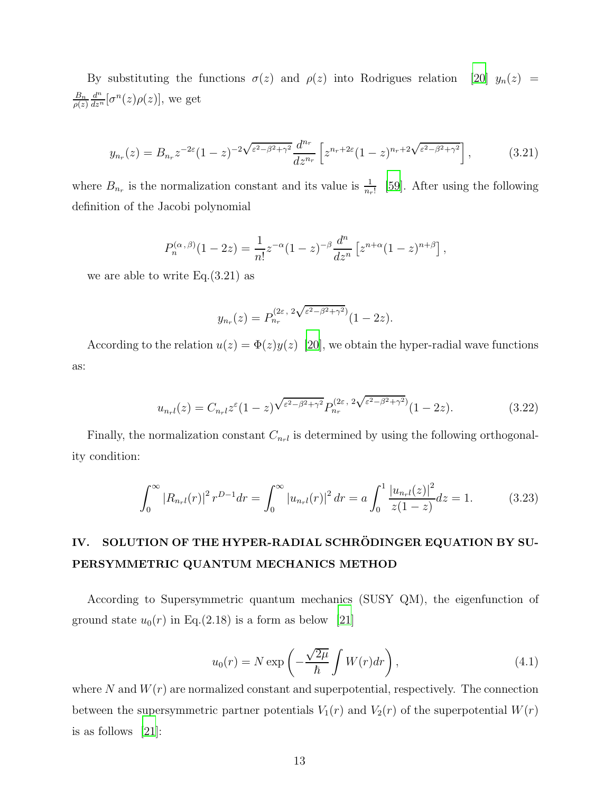By substituting the functions  $\sigma(z)$  and  $\rho(z)$  into Rodrigues relation [\[20](#page-18-12)]  $y_n(z)$  =  $B_n$  $\rho(z)$  $\frac{d^n}{dz^n}[\sigma^n(z)\rho(z)]$ , we get

$$
y_{n_r}(z) = B_{n_r} z^{-2\varepsilon} (1-z)^{-2\sqrt{\varepsilon^2 - \beta^2 + \gamma^2}} \frac{d^{n_r}}{dz^{n_r}} \left[ z^{n_r + 2\varepsilon} (1-z)^{n_r + 2\sqrt{\varepsilon^2 - \beta^2 + \gamma^2}} \right],\tag{3.21}
$$

where  $B_{n_r}$  is the normalization constant and its value is  $\frac{1}{n_r!}$  [\[59\]](#page-20-1). After using the following definition of the Jacobi polynomial

$$
P_n^{(\alpha,\beta)}(1-2z) = \frac{1}{n!}z^{-\alpha}(1-z)^{-\beta}\frac{d^n}{dz^n}\left[z^{n+\alpha}(1-z)^{n+\beta}\right],
$$

we are able to write  $Eq.(3.21)$  as

$$
y_{n_r}(z) = P_{n_r}^{(2\varepsilon, 2\sqrt{\varepsilon^2 - \beta^2 + \gamma^2})} (1 - 2z).
$$

According to the relation  $u(z) = \Phi(z)y(z)$  [\[20\]](#page-18-12), we obtain the hyper-radial wave functions as:

$$
u_{n_{\tau}l}(z) = C_{n_{\tau}l}z^{\varepsilon}(1-z)\sqrt{\varepsilon^2-\beta^2+\gamma^2}P_{n_{\tau}}^{(2\varepsilon,\;2\sqrt{\varepsilon^2-\beta^2+\gamma^2})}(1-2z). \tag{3.22}
$$

Finally, the normalization constant  $C_{n_r}$  is determined by using the following orthogonality condition:

$$
\int_0^\infty |R_{n_r}(\mathbf{r})|^2 r^{D-1} dr = \int_0^\infty |u_{n_r}(\mathbf{r})|^2 dr = a \int_0^1 \frac{|u_{n_r}(\mathbf{z})|^2}{z(1-z)} dz = 1. \tag{3.23}
$$

### IV. SOLUTION OF THE HYPER-RADIAL SCHRÖDINGER EQUATION BY SU-PERSYMMETRIC QUANTUM MECHANICS METHOD

According to Supersymmetric quantum mechanics (SUSY QM), the eigenfunction of ground state  $u_0(r)$  in Eq.(2.18) is a form as below [\[21\]](#page-18-13)

$$
u_0(r) = N \exp\left(-\frac{\sqrt{2\mu}}{\hbar} \int W(r) dr\right),\qquad(4.1)
$$

where N and  $W(r)$  are normalized constant and superpotential, respectively. The connection between the supersymmetric partner potentials  $V_1(r)$  and  $V_2(r)$  of the superpotential  $W(r)$ is as follows [\[21\]](#page-18-13):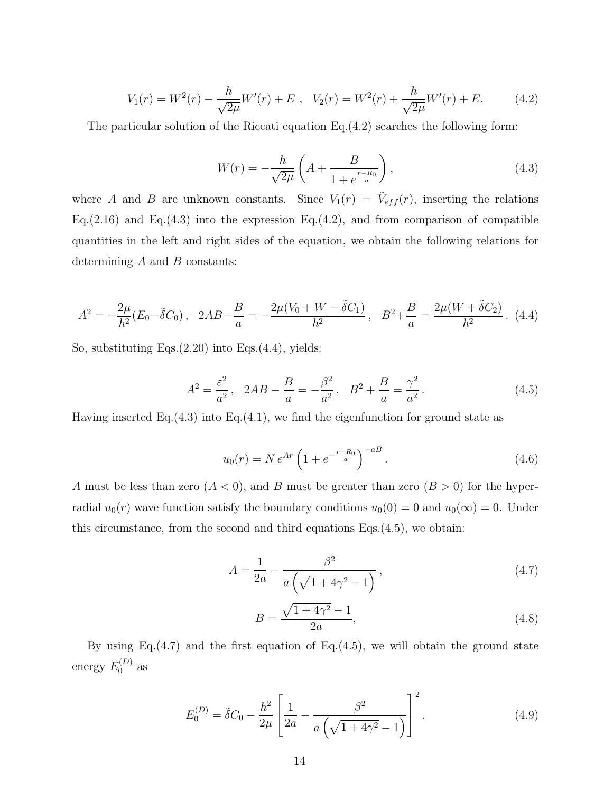$$
V_1(r) = W^2(r) - \frac{\hbar}{\sqrt{2\mu}} W'(r) + E , \quad V_2(r) = W^2(r) + \frac{\hbar}{\sqrt{2\mu}} W'(r) + E.
$$
 (4.2)

The particular solution of the Riccati equation Eq.(4.2) searches the following form:

$$
W(r) = -\frac{\hbar}{\sqrt{2\mu}} \left( A + \frac{B}{1 + e^{\frac{r - R_0}{a}}} \right),
$$
\n(4.3)

where A and B are unknown constants. Since  $V_1(r) = \tilde{V}_{eff}(r)$ , inserting the relations Eq.(2.16) and Eq.(4.3) into the expression Eq.(4.2), and from comparison of compatible quantities in the left and right sides of the equation, we obtain the following relations for determining  $A$  and  $B$  constants:

$$
A^{2} = -\frac{2\mu}{\hbar^{2}}(E_{0} - \tilde{\delta}C_{0}), \quad 2AB - \frac{B}{a} = -\frac{2\mu(V_{0} + W - \tilde{\delta}C_{1})}{\hbar^{2}}, \quad B^{2} + \frac{B}{a} = \frac{2\mu(W + \tilde{\delta}C_{2})}{\hbar^{2}}.
$$
 (4.4)

So, substituting Eqs.(2.20) into Eqs.(4.4), yields:

$$
A^{2} = \frac{\varepsilon^{2}}{a^{2}}, \quad 2AB - \frac{B}{a} = -\frac{\beta^{2}}{a^{2}}, \quad B^{2} + \frac{B}{a} = \frac{\gamma^{2}}{a^{2}}.
$$
 (4.5)

Having inserted Eq. $(4.3)$  into Eq. $(4.1)$ , we find the eigenfunction for ground state as

$$
u_0(r) = N e^{Ar} \left( 1 + e^{-\frac{r - R_0}{a}} \right)^{-a}.
$$
 (4.6)

A must be less than zero  $(A < 0)$ , and B must be greater than zero  $(B > 0)$  for the hyperradial  $u_0(r)$  wave function satisfy the boundary conditions  $u_0(0) = 0$  and  $u_0(\infty) = 0$ . Under this circumstance, from the second and third equations Eqs.(4.5), we obtain:

$$
A = \frac{1}{2a} - \frac{\beta^2}{a\left(\sqrt{1 + 4\gamma^2} - 1\right)},
$$
\n(4.7)

$$
B = \frac{\sqrt{1 + 4\gamma^2} - 1}{2a},
$$
\n(4.8)

By using Eq. $(4.7)$  and the first equation of Eq. $(4.5)$ , we will obtain the ground state energy  $E_0^{(D)}$  as

$$
E_0^{(D)} = \tilde{\delta}C_0 - \frac{\hbar^2}{2\mu} \left[ \frac{1}{2a} - \frac{\beta^2}{a\left(\sqrt{1 + 4\gamma^2} - 1\right)} \right]^2.
$$
 (4.9)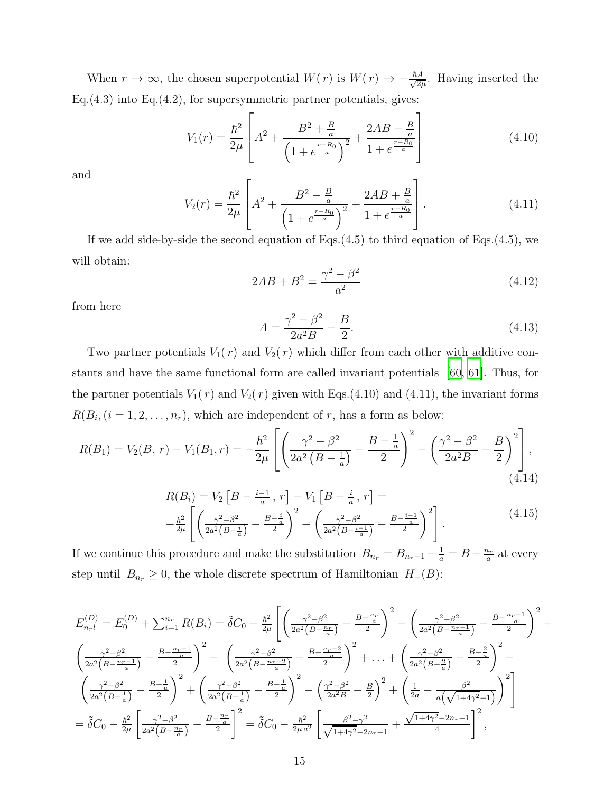When  $r \to \infty$ , the chosen superpotential  $W(r)$  is  $W(r) \to -\frac{\hbar A}{\sqrt{2\mu}}$  $\frac{A}{2\mu}$ . Having inserted the Eq. $(4.3)$  into Eq. $(4.2)$ , for supersymmetric partner potentials, gives:

$$
V_1(r) = \frac{\hbar^2}{2\mu} \left[ A^2 + \frac{B^2 + \frac{B}{a}}{\left(1 + e^{\frac{r - R_0}{a}}\right)^2} + \frac{2AB - \frac{B}{a}}{1 + e^{\frac{r - R_0}{a}}} \right]
$$
(4.10)

and

$$
V_2(r) = \frac{\hbar^2}{2\mu} \left[ A^2 + \frac{B^2 - \frac{B}{a}}{\left(1 + e^{\frac{r - R_0}{a}}\right)^2} + \frac{2AB + \frac{B}{a}}{1 + e^{\frac{r - R_0}{a}}} \right].
$$
 (4.11)

If we add side-by-side the second equation of Eqs.(4.5) to third equation of Eqs.(4.5), we will obtain:

$$
2AB + B^2 = \frac{\gamma^2 - \beta^2}{a^2}
$$
 (4.12)

from here

$$
A = \frac{\gamma^2 - \beta^2}{2a^2 B} - \frac{B}{2}.
$$
\n(4.13)

Two partner potentials  $V_1(r)$  and  $V_2(r)$  which differ from each other with additive constants and have the same functional form are called invariant potentials [\[60](#page-20-2), [61\]](#page-20-3). Thus, for the partner potentials  $V_1(r)$  and  $V_2(r)$  given with Eqs.(4.10) and (4.11), the invariant forms  $R(B_i, (i = 1, 2, \ldots, n_r),$  which are independent of r, has a form as below:

$$
R(B_1) = V_2(B, r) - V_1(B_1, r) = -\frac{\hbar^2}{2\mu} \left[ \left( \frac{\gamma^2 - \beta^2}{2a^2 \left( B - \frac{1}{a} \right)} - \frac{B - \frac{1}{a}}{2} \right)^2 - \left( \frac{\gamma^2 - \beta^2}{2a^2 B} - \frac{B}{2} \right)^2 \right],
$$
\n(4.14)

$$
R(B_i) = V_2 \left[ B - \frac{i-1}{a}, r \right] - V_1 \left[ B - \frac{i}{a}, r \right] =
$$
  

$$
- \frac{\hbar^2}{2\mu} \left[ \left( \frac{\gamma^2 - \beta^2}{2a^2 \left( B - \frac{i}{a} \right)} - \frac{B - \frac{i}{a}}{2} \right)^2 - \left( \frac{\gamma^2 - \beta^2}{2a^2 \left( B - \frac{i-1}{a} \right)} - \frac{B - \frac{i-1}{a}}{2} \right)^2 \right].
$$
 (4.15)

If we continue this procedure and make the substitution  $B_{n_r} = B_{n_r-1} - \frac{1}{a} = B - \frac{n_r}{a}$  $\frac{a_r}{a}$  at every step until  $B_{n_r} \geq 0$ , the whole discrete spectrum of Hamiltonian  $H_-(B)$ :

$$
E_{n+l}^{(D)} = E_0^{(D)} + \sum_{i=1}^{n_r} R(B_i) = \tilde{\delta}C_0 - \frac{\hbar^2}{2\mu} \left[ \left( \frac{\gamma^2 - \beta^2}{2a^2 \left( B - \frac{n_r}{a} \right)} - \frac{B - \frac{n_r}{a}}{2} \right)^2 - \left( \frac{\gamma^2 - \beta^2}{2a^2 \left( B - \frac{n_r - 1}{a} \right)} - \frac{B - \frac{n_r - 1}{a}}{2} \right)^2 + \left( \frac{\gamma^2 - \beta^2}{2a^2 \left( B - \frac{n_r - 1}{a} \right)} - \frac{B - \frac{n_r - 1}{a}}{2} \right)^2 - \left( \frac{\gamma^2 - \beta^2}{2a^2 \left( B - \frac{n_r - 2}{a} \right)} - \frac{B - \frac{n_r - 2}{a}}{2} \right)^2 + \dots + \left( \frac{\gamma^2 - \beta^2}{2a^2 \left( B - \frac{2}{a} \right)} - \frac{B - \frac{2}{a}}{2} \right)^2 - \left( \frac{\gamma^2 - \beta^2}{2a^2 \left( B - \frac{1}{a} \right)} - \frac{B - \frac{1}{a}}{2} \right)^2 + \left( \frac{\gamma^2 - \beta^2}{2a^2 \left( B - \frac{1}{a} \right)} - \frac{B - \frac{1}{a}}{2} \right)^2 - \left( \frac{\gamma^2 - \beta^2}{2a^2 B} - \frac{B}{2} \right)^2 + \left( \frac{1}{2a} - \frac{\beta^2}{a \left( \sqrt{1 + 4\gamma^2} - 1 \right)} \right)^2 \right] = \tilde{\delta}C_0 - \frac{\hbar^2}{2\mu} \left[ \frac{\gamma^2 - \beta^2}{2a^2 \left( B - \frac{n_r}{a} \right)} - \frac{B - \frac{n_r}{a}}{2} \right]^2 = \tilde{\delta}C_0 - \frac{\hbar^2}{2\mu a^2} \left[ \frac{\beta^2 - \gamma^2}{\sqrt{1 + 4\gamma^2} - 2n_r - 1} + \frac{\sqrt{1 + 4\gamma^2} - 2n_r - 1}{4} \right]^2,
$$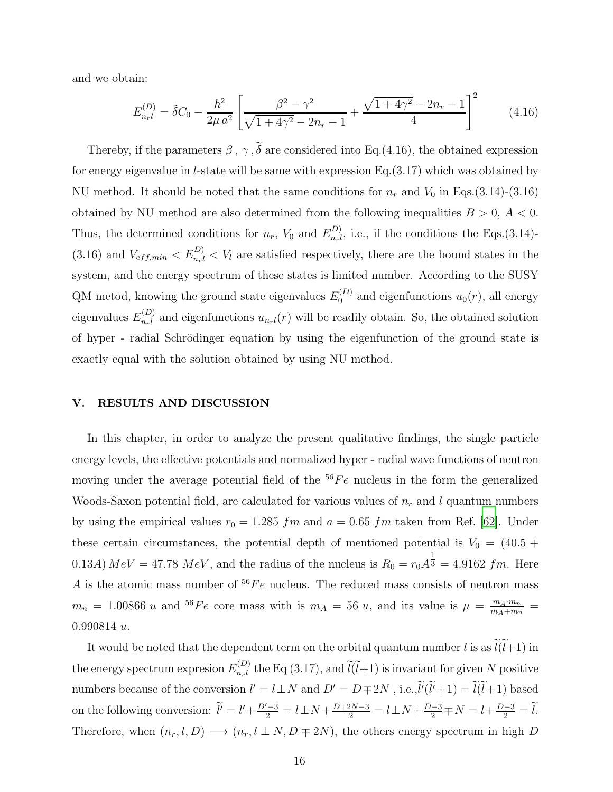and we obtain:

$$
E_{n_{r}l}^{(D)} = \tilde{\delta}C_{0} - \frac{\hbar^{2}}{2\mu a^{2}} \left[ \frac{\beta^{2} - \gamma^{2}}{\sqrt{1 + 4\gamma^{2} - 2n_{r} - 1}} + \frac{\sqrt{1 + 4\gamma^{2} - 2n_{r} - 1}}{4} \right]^{2}
$$
(4.16)

Thereby, if the parameters  $\beta$ ,  $\gamma$ ,  $\tilde{\delta}$  are considered into Eq.(4.16), the obtained expression for energy eigenvalue in *l*-state will be same with expression Eq.  $(3.17)$  which was obtained by NU method. It should be noted that the same conditions for  $n_r$  and  $V_0$  in Eqs.(3.14)-(3.16) obtained by NU method are also determined from the following inequalities  $B > 0, A < 0$ . Thus, the determined conditions for  $n_r$ ,  $V_0$  and  $E_{n_r l}^{(D)}$  $_{nrl}^{(D)}$ , i.e., if the conditions the Eqs.(3.14)-(3.16) and  $V_{eff,min} < E_{n_r l}^{D)} < V_l$  are satisfied respectively, there are the bound states in the system, and the energy spectrum of these states is limited number. According to the SUSY QM metod, knowing the ground state eigenvalues  $E_0^{(D)}$  and eigenfunctions  $u_0(r)$ , all energy eigenvalues  $E_{n,l}^{(D)}$  $n_{n_l}^{(D)}$  and eigenfunctions  $u_{n_l}(r)$  will be readily obtain. So, the obtained solution of hyper - radial Schrödinger equation by using the eigenfunction of the ground state is exactly equal with the solution obtained by using NU method.

#### V. RESULTS AND DISCUSSION

In this chapter, in order to analyze the present qualitative findings, the single particle energy levels, the effective potentials and normalized hyper - radial wave functions of neutron moving under the average potential field of the  ${}^{56}Fe$  nucleus in the form the generalized Woods-Saxon potential field, are calculated for various values of  $n_r$  and l quantum numbers by using the empirical values  $r_0 = 1.285$  fm and  $a = 0.65$  fm taken from Ref. [\[62\]](#page-20-4). Under these certain circumstances, the potential depth of mentioned potential is  $V_0 = (40.5 +$ 0.13A)  $MeV = 47.78 \; MeV$ , and the radius of the nucleus is  $R_0 = r_0 A^{\frac{1}{3}} = 4.9162 \; fm$ . Here A is the atomic mass number of  ${}^{56}Fe$  nucleus. The reduced mass consists of neutron mass  $m_n = 1.00866 u$  and <sup>56</sup>Fe core mass with is  $m_A = 56 u$ , and its value is  $\mu = \frac{m_A \cdot m_n}{m_A + m_n}$ 0.990814 u.

It would be noted that the dependent term on the orbital quantum number l is as  $\ell(l+1)$  in the energy spectrum expresion  $E_{n,l}^{(D)}$  $n_{n_l}^{(D)}$  the Eq (3.17), and  $l(l+1)$  is invariant for given N positive numbers because of the conversion  $l' = l \pm N$  and  $D' = D \mp 2N$ , i.e., $l'(l'+1) = l(l+1)$  based on the following conversion:  $\tilde{l}' = l' + \frac{D'-3}{2} = l \pm N + \frac{D \mp 2N-3}{2} = l \pm N + \frac{D-3}{2} \mp N = l + \frac{D-3}{2} = \tilde{l}$ . Therefore, when  $(n_r, l, D) \longrightarrow (n_r, l \pm N, D \mp 2N)$ , the others energy spectrum in high D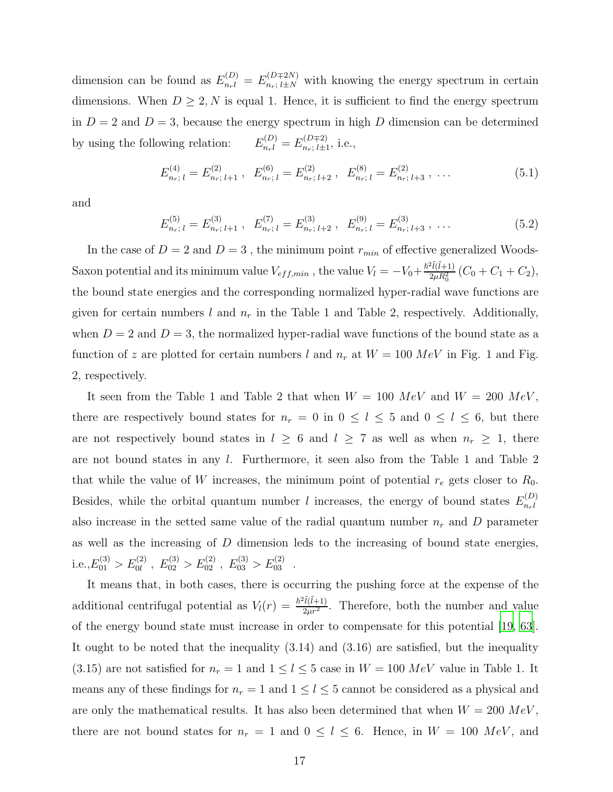dimension can be found as  $E_{n_r}^{(D)} = E_{n_r;\,l\pm N}^{(D \mp 2N)}$  with knowing the energy spectrum in certain dimensions. When  $D \geq 2, N$  is equal 1. Hence, it is sufficient to find the energy spectrum in  $D = 2$  and  $D = 3$ , because the energy spectrum in high D dimension can be determined by using the following relation:  $f_{n_{r}l}^{(D)}=E_{n_{r};\;l\pm1}^{(D\mp2)}$  $\prod_{n_r;\,l\pm 1}^{(D+2)}$ , i.e.,

$$
E_{n_r; l}^{(4)} = E_{n_r; l+1}^{(2)}, \quad E_{n_r; l}^{(6)} = E_{n_r; l+2}^{(2)}, \quad E_{n_r; l}^{(8)} = E_{n_r; l+3}^{(2)}, \quad \dots \tag{5.1}
$$

and

$$
E_{n_r; l}^{(5)} = E_{n_r; l+1}^{(3)}, \quad E_{n_r; l}^{(7)} = E_{n_r; l+2}^{(3)}, \quad E_{n_r; l}^{(9)} = E_{n_r; l+3}^{(3)}, \quad \dots \tag{5.2}
$$

In the case of  $D = 2$  and  $D = 3$ , the minimum point  $r_{min}$  of effective generalized Woods-Saxon potential and its minimum value  $V_{eff,min}$  , the value  $V_l = -V_0 + \frac{\hbar^2 \tilde{l}(\tilde{l}+1)}{2 \mu R_0^2}$  $\frac{2\mu(l+1)}{2\mu R_0^2}$   $(C_0 + C_1 + C_2),$ the bound state energies and the corresponding normalized hyper-radial wave functions are given for certain numbers l and  $n_r$  in the Table 1 and Table 2, respectively. Additionally, when  $D = 2$  and  $D = 3$ , the normalized hyper-radial wave functions of the bound state as a function of z are plotted for certain numbers l and  $n_r$  at  $W = 100 \; MeV$  in Fig. 1 and Fig. 2, respectively.

It seen from the Table 1 and Table 2 that when  $W = 100 \; MeV$  and  $W = 200 \; MeV$ , there are respectively bound states for  $n_r = 0$  in  $0 \le l \le 5$  and  $0 \le l \le 6$ , but there are not respectively bound states in  $l \geq 6$  and  $l \geq 7$  as well as when  $n_r \geq 1$ , there are not bound states in any l. Furthermore, it seen also from the Table 1 and Table 2 that while the value of W increases, the minimum point of potential  $r_e$  gets closer to  $R_0$ . Besides, while the orbital quantum number l increases, the energy of bound states  $E_{n,l}^{(D)}$  $n_{r}$ l also increase in the setted same value of the radial quantum number  $n_r$  and D parameter as well as the increasing of D dimension leds to the increasing of bound state energies, i.e., $E_{01}^{(3)} > E_{0l}^{(2)}$ ,  $E_{02}^{(3)} > E_{02}^{(2)}$ ,  $E_{03}^{(3)} > E_{03}^{(2)}$ .

It means that, in both cases, there is occurring the pushing force at the expense of the additional centrifugal potential as  $V_l(r) = \frac{\hbar^2 l(\tilde{l}+1)}{2\mu r^2}$ . Therefore, both the number and value of the energy bound state must increase in order to compensate for this potential [\[19,](#page-18-11) [63\]](#page-20-5). It ought to be noted that the inequality (3.14) and (3.16) are satisfied, but the inequality (3.15) are not satisfied for  $n_r = 1$  and  $1 \leq l \leq 5$  case in  $W = 100 \; MeV$  value in Table 1. It means any of these findings for  $n_r = 1$  and  $1 \leq l \leq 5$  cannot be considered as a physical and are only the mathematical results. It has also been determined that when  $W = 200 \; MeV$ , there are not bound states for  $n_r = 1$  and  $0 \le l \le 6$ . Hence, in  $W = 100 \; MeV$ , and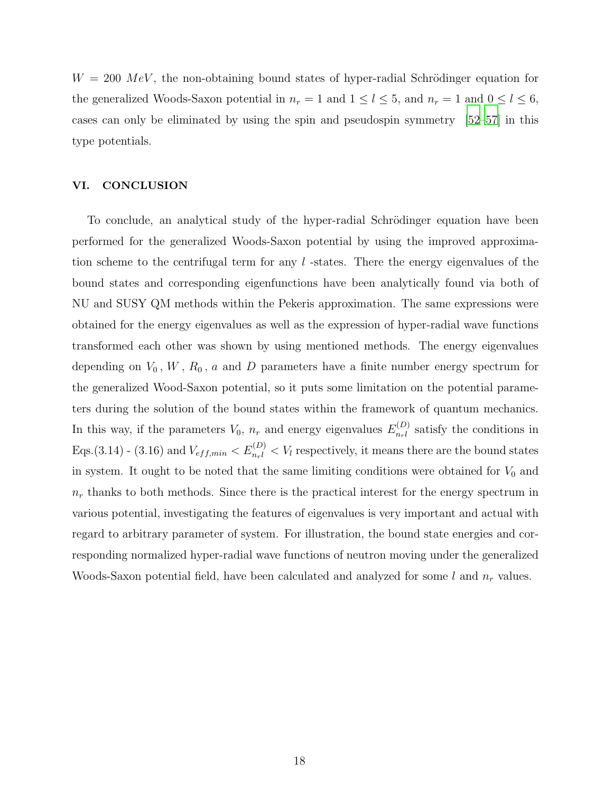$W = 200 \; MeV$ , the non-obtaining bound states of hyper-radial Schrödinger equation for the generalized Woods-Saxon potential in  $n_r = 1$  and  $1 \le l \le 5$ , and  $n_r = 1$  and  $0 \le l \le 6$ , cases can only be eliminated by using the spin and pseudospin symmetry [\[52](#page-19-14)[–57](#page-19-15)] in this type potentials.

#### VI. CONCLUSION

To conclude, an analytical study of the hyper-radial Schrödinger equation have been performed for the generalized Woods-Saxon potential by using the improved approximation scheme to the centrifugal term for any  $l$ -states. There the energy eigenvalues of the bound states and corresponding eigenfunctions have been analytically found via both of NU and SUSY QM methods within the Pekeris approximation. The same expressions were obtained for the energy eigenvalues as well as the expression of hyper-radial wave functions transformed each other was shown by using mentioned methods. The energy eigenvalues depending on  $V_0$ ,  $W$ ,  $R_0$ ,  $a$  and  $D$  parameters have a finite number energy spectrum for the generalized Wood-Saxon potential, so it puts some limitation on the potential parameters during the solution of the bound states within the framework of quantum mechanics. In this way, if the parameters  $V_0$ ,  $n_r$  and energy eigenvalues  $E_{n_r l}^{(D)}$  $n_r^{(D)}$  satisfy the conditions in Eqs.(3.14) - (3.16) and  $V_{eff,min} < E_{n,l}^{(D)} < V_l$  respectively, it means there are the bound states in system. It ought to be noted that the same limiting conditions were obtained for  $V_0$  and  $n_r$  thanks to both methods. Since there is the practical interest for the energy spectrum in various potential, investigating the features of eigenvalues is very important and actual with regard to arbitrary parameter of system. For illustration, the bound state energies and corresponding normalized hyper-radial wave functions of neutron moving under the generalized Woods-Saxon potential field, have been calculated and analyzed for some  $l$  and  $n_r$  values.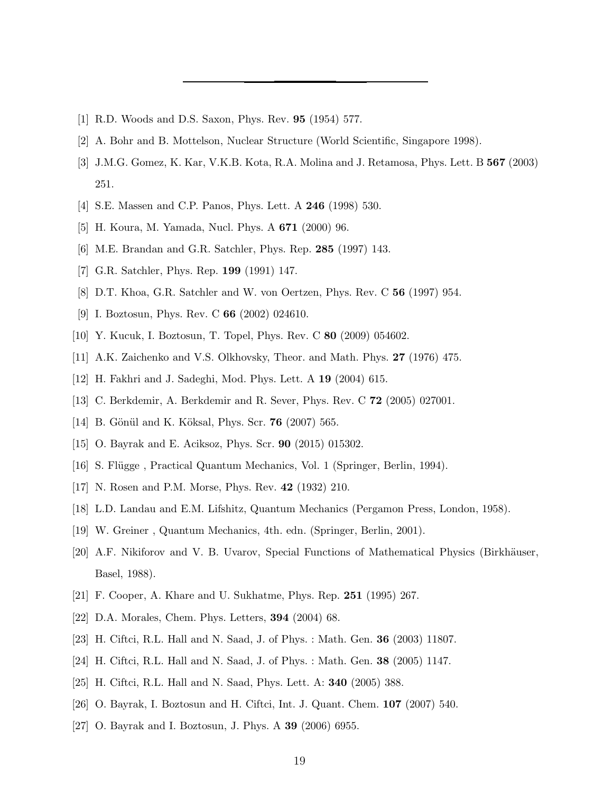- <span id="page-18-1"></span><span id="page-18-0"></span>[1] R.D. Woods and D.S. Saxon, Phys. Rev. 95 (1954) 577.
- [2] A. Bohr and B. Mottelson, Nuclear Structure (World Scientific, Singapore 1998).
- [3] J.M.G. Gomez, K. Kar, V.K.B. Kota, R.A. Molina and J. Retamosa, Phys. Lett. B 567 (2003) 251.
- <span id="page-18-2"></span>[4] S.E. Massen and C.P. Panos, Phys. Lett. A 246 (1998) 530.
- [5] H. Koura, M. Yamada, Nucl. Phys. A 671 (2000) 96.
- <span id="page-18-3"></span>[6] M.E. Brandan and G.R. Satchler, Phys. Rep. 285 (1997) 143.
- [7] G.R. Satchler, Phys. Rep. 199 (1991) 147.
- [8] D.T. Khoa, G.R. Satchler and W. von Oertzen, Phys. Rev. C 56 (1997) 954.
- [9] I. Boztosun, Phys. Rev. C **66** (2002) 024610.
- <span id="page-18-4"></span>[10] Y. Kucuk, I. Boztosun, T. Topel, Phys. Rev. C 80 (2009) 054602.
- <span id="page-18-5"></span>[11] A.K. Zaichenko and V.S. Olkhovsky, Theor. and Math. Phys. 27 (1976) 475.
- <span id="page-18-9"></span>[12] H. Fakhri and J. Sadeghi, Mod. Phys. Lett. A 19 (2004) 615.
- [13] C. Berkdemir, A. Berkdemir and R. Sever, Phys. Rev. C 72 (2005) 027001.
- [14] B. Gönül and K. Köksal, Phys. Scr. **76** (2007) 565.
- <span id="page-18-6"></span>[15] O. Bayrak and E. Aciksoz, Phys. Scr. 90 (2015) 015302.
- <span id="page-18-7"></span>[16] S. Flügge, Practical Quantum Mechanics, Vol. 1 (Springer, Berlin, 1994).
- <span id="page-18-8"></span>[17] N. Rosen and P.M. Morse, Phys. Rev. 42 (1932) 210.
- <span id="page-18-11"></span><span id="page-18-10"></span>[18] L.D. Landau and E.M. Lifshitz, Quantum Mechanics (Pergamon Press, London, 1958).
- [19] W. Greiner , Quantum Mechanics, 4th. edn. (Springer, Berlin, 2001).
- <span id="page-18-12"></span>[20] A.F. Nikiforov and V. B. Uvarov, Special Functions of Mathematical Physics (Birkhäuser, Basel, 1988).
- <span id="page-18-13"></span>[21] F. Cooper, A. Khare and U. Sukhatme, Phys. Rep. 251 (1995) 267.
- <span id="page-18-14"></span>[22] D.A. Morales, Chem. Phys. Letters, 394 (2004) 68.
- <span id="page-18-15"></span>[23] H. Ciftci, R.L. Hall and N. Saad, J. of Phys. : Math. Gen. 36 (2003) 11807.
- [24] H. Ciftci, R.L. Hall and N. Saad, J. of Phys. : Math. Gen. 38 (2005) 1147.
- [25] H. Ciftci, R.L. Hall and N. Saad, Phys. Lett. A: 340 (2005) 388.
- [26] O. Bayrak, I. Boztosun and H. Ciftci, Int. J. Quant. Chem. 107 (2007) 540.
- [27] O. Bayrak and I. Boztosun, J. Phys. A 39 (2006) 6955.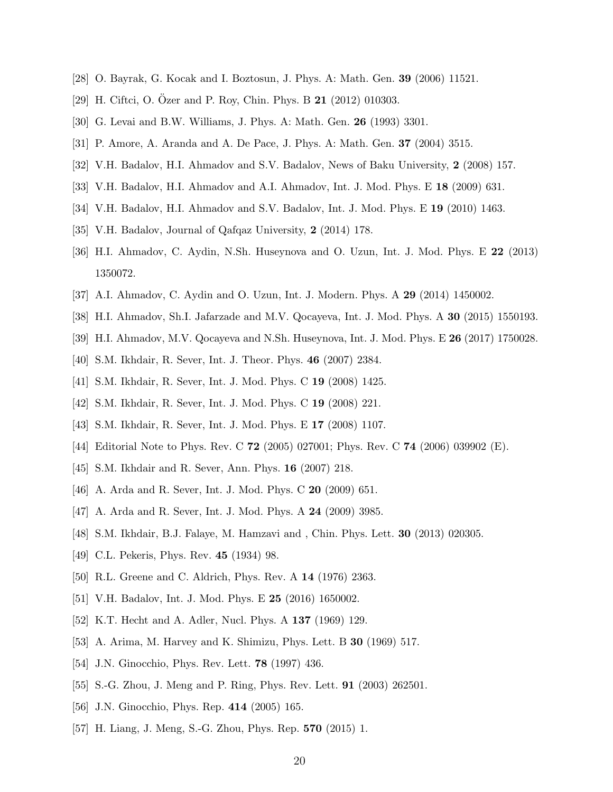- <span id="page-19-10"></span><span id="page-19-0"></span>[28] O. Bayrak, G. Kocak and I. Boztosun, J. Phys. A: Math. Gen. 39 (2006) 11521.
- <span id="page-19-1"></span>[29] H. Ciftci, O. Ozer and P. Roy, Chin. Phys. B  $21$  (2012) 010303.
- <span id="page-19-2"></span>[30] G. Levai and B.W. Williams, J. Phys. A: Math. Gen. 26 (1993) 3301.
- <span id="page-19-3"></span>[31] P. Amore, A. Aranda and A. De Pace, J. Phys. A: Math. Gen. 37 (2004) 3515.
- [32] V.H. Badalov, H.I. Ahmadov and S.V. Badalov, News of Baku University, 2 (2008) 157.
- <span id="page-19-11"></span>[33] V.H. Badalov, H.I. Ahmadov and A.I. Ahmadov, Int. J. Mod. Phys. E 18 (2009) 631.
- <span id="page-19-12"></span>[34] V.H. Badalov, H.I. Ahmadov and S.V. Badalov, Int. J. Mod. Phys. E 19 (2010) 1463.
- [35] V.H. Badalov, Journal of Qafqaz University, 2 (2014) 178.
- [36] H.I. Ahmadov, C. Aydin, N.Sh. Huseynova and O. Uzun, Int. J. Mod. Phys. E 22 (2013) 1350072.
- [37] A.I. Ahmadov, C. Aydin and O. Uzun, Int. J. Modern. Phys. A 29 (2014) 1450002.
- [38] H.I. Ahmadov, Sh.I. Jafarzade and M.V. Qocayeva, Int. J. Mod. Phys. A 30 (2015) 1550193.
- [39] H.I. Ahmadov, M.V. Qocayeva and N.Sh. Huseynova, Int. J. Mod. Phys. E 26 (2017) 1750028.
- [40] S.M. Ikhdair, R. Sever, Int. J. Theor. Phys. 46 (2007) 2384.
- [41] S.M. Ikhdair, R. Sever, Int. J. Mod. Phys. C 19 (2008) 1425.
- <span id="page-19-4"></span>[42] S.M. Ikhdair, R. Sever, Int. J. Mod. Phys. C 19 (2008) 221.
- [43] S.M. Ikhdair, R. Sever, Int. J. Mod. Phys. E 17 (2008) 1107.
- <span id="page-19-5"></span>[44] Editorial Note to Phys. Rev. C 72 (2005) 027001; Phys. Rev. C 74 (2006) 039902 (E).
- <span id="page-19-6"></span>[45] S.M. Ikhdair and R. Sever, Ann. Phys. 16 (2007) 218.
- [46] A. Arda and R. Sever, Int. J. Mod. Phys. C 20 (2009) 651.
- [47] A. Arda and R. Sever, Int. J. Mod. Phys. A 24 (2009) 3985.
- <span id="page-19-7"></span>[48] S.M. Ikhdair, B.J. Falaye, M. Hamzavi and , Chin. Phys. Lett. 30 (2013) 020305.
- <span id="page-19-8"></span>[49] C.L. Pekeris, Phys. Rev. **45** (1934) 98.
- <span id="page-19-9"></span>[50] R.L. Greene and C. Aldrich, Phys. Rev. A 14 (1976) 2363.
- <span id="page-19-13"></span>[51] V.H. Badalov, Int. J. Mod. Phys. E 25 (2016) 1650002.
- <span id="page-19-14"></span>[52] K.T. Hecht and A. Adler, Nucl. Phys. A 137 (1969) 129.
- [53] A. Arima, M. Harvey and K. Shimizu, Phys. Lett. B 30 (1969) 517.
- [54] J.N. Ginocchio, Phys. Rev. Lett. 78 (1997) 436.
- [55] S.-G. Zhou, J. Meng and P. Ring, Phys. Rev. Lett. 91 (2003) 262501.
- [56] J.N. Ginocchio, Phys. Rep. 414 (2005) 165.
- <span id="page-19-15"></span>[57] H. Liang, J. Meng, S.-G. Zhou, Phys. Rep. 570 (2015) 1.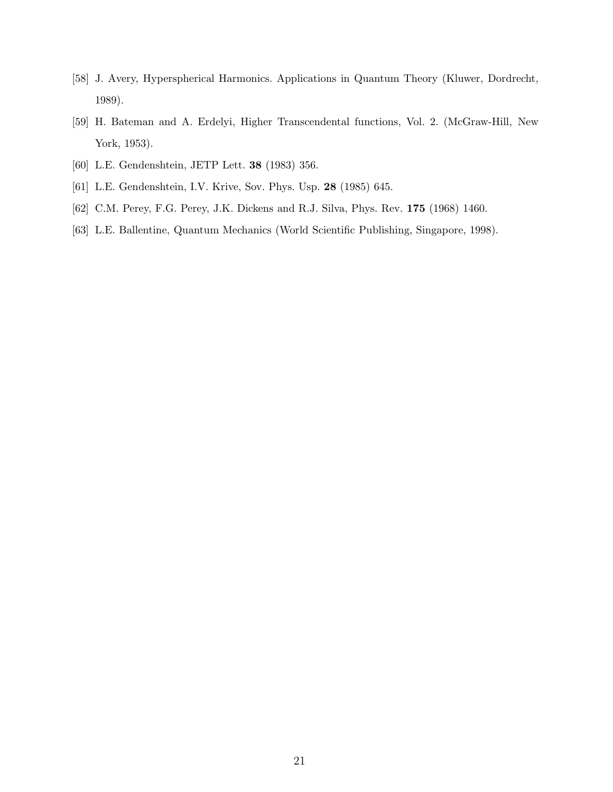- <span id="page-20-0"></span>[58] J. Avery, Hyperspherical Harmonics. Applications in Quantum Theory (Kluwer, Dordrecht, 1989).
- <span id="page-20-1"></span>[59] H. Bateman and A. Erdelyi, Higher Transcendental functions, Vol. 2. (McGraw-Hill, New York, 1953).
- <span id="page-20-3"></span><span id="page-20-2"></span>[60] L.E. Gendenshtein, JETP Lett. 38 (1983) 356.
- <span id="page-20-4"></span>[61] L.E. Gendenshtein, I.V. Krive, Sov. Phys. Usp. 28 (1985) 645.
- <span id="page-20-5"></span>[62] C.M. Perey, F.G. Perey, J.K. Dickens and R.J. Silva, Phys. Rev. 175 (1968) 1460.
- [63] L.E. Ballentine, Quantum Mechanics (World Scientific Publishing, Singapore, 1998).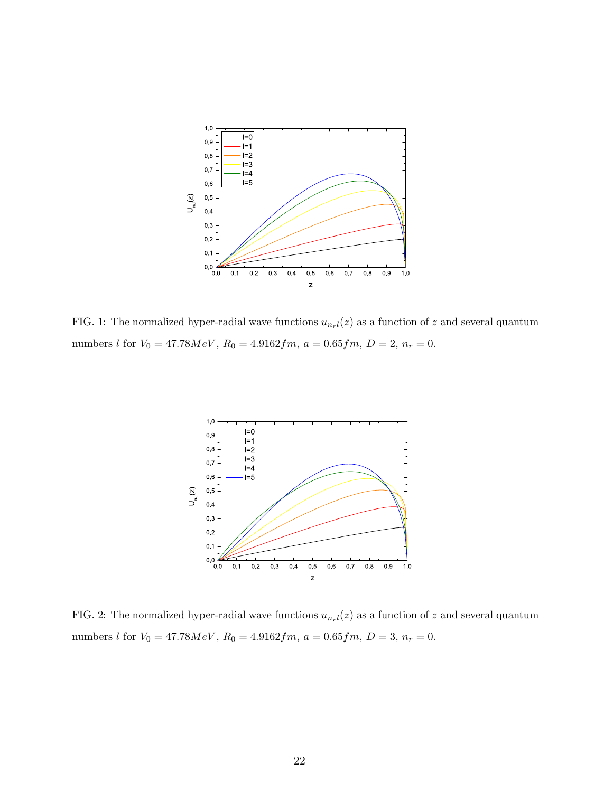

FIG. 1: The normalized hyper-radial wave functions  $u_{n+l}(z)$  as a function of z and several quantum numbers l for  $V_0 = 47.78 MeV$ ,  $R_0 = 4.9162 fm$ ,  $a = 0.65 fm$ ,  $D = 2$ ,  $n_r = 0$ .



FIG. 2: The normalized hyper-radial wave functions  $u_{n+l}(z)$  as a function of z and several quantum numbers *l* for  $V_0 = 47.78MeV$ ,  $R_0 = 4.9162fm$ ,  $a = 0.65fm$ ,  $D = 3$ ,  $n_r = 0$ .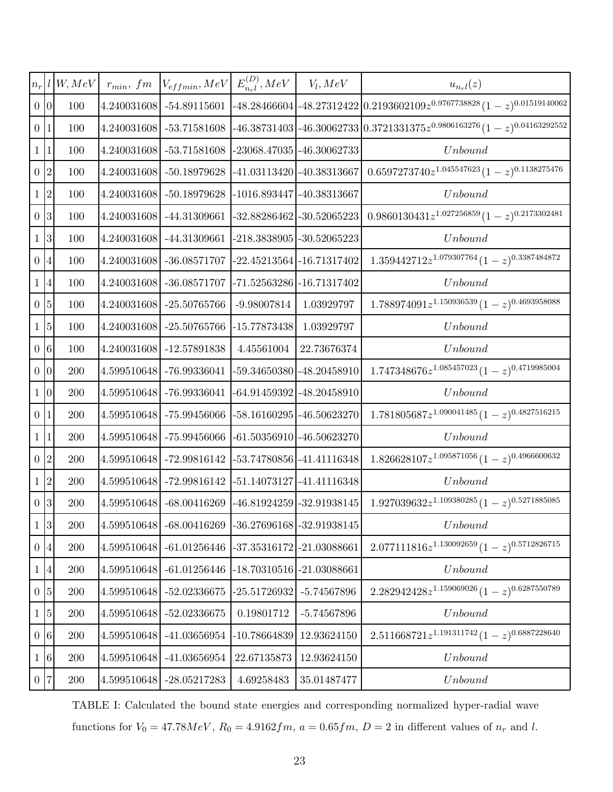| $n_r$    |                 | W, MeV     | $r_{min}, fm$ | $V_{effmin}, MeV$        | $E_{n_{r}l}^{(D)}, MeV$       | $V_l, MeV$                    | $u_{n_r}$ $l(z)$                                                                                      |
|----------|-----------------|------------|---------------|--------------------------|-------------------------------|-------------------------------|-------------------------------------------------------------------------------------------------------|
|          | 0 <sup>0</sup>  | 100        | 4.240031608   | $-54.89115601$           |                               |                               | $-48.28466604\left[-48.27312422\left[0.2193602109z^{0.9767738828}(1-z)^{0.01519140062}\right.\right]$ |
|          | 0 <sup>1</sup>  | 100        | 4.240031608   | $-53.71581608$           |                               |                               | $-46.38731403\bigl[-46.30062733\bigl(0.3721331375z^{0.9806163276}(1-z)^{0.04163292552}\bigr]$         |
| $1\vert$ | $\mathbf 1$     | 100        | 4.240031608   | $-53.71581608$           |                               | -23068.47035 -46.30062733     | Unbound                                                                                               |
|          | $0\vert 2$      | 100        | 4.240031608   | -50.18979628             |                               | $-41.03113420$ $-40.38313667$ | $0.6597273740z^{1.045547623}(1-z)^{0.1138275476}$                                                     |
|          | 1 2             | 100        | 4.240031608   | -50.18979628             |                               | $-1016.893447$ $-40.38313667$ | Unbound                                                                                               |
|          | 0 <sup>3</sup>  | 100        | 4.240031608   | -44.31309661             |                               | -32.88286462 - 30.52065223    | $0.9860130431z^{1.027256859}(1-z)^{0.2173302481}$                                                     |
|          | $1\overline{3}$ | 100        | 4.240031608   | $-44.31309661$           |                               | -218.3838905 -30.52065223     | Unbound                                                                                               |
|          | 0 <sup>14</sup> | 100        | 4.240031608   | $-36.08571707$           |                               | $-22.45213564$ $-16.71317402$ | $1.359442712z^{1.079307764}(1-z)^{0.3387484872}$                                                      |
|          | 1 4             | 100        | 4.240031608   | $-36.08571707$           |                               | -71.52563286 -16.71317402     | Unbound                                                                                               |
|          | $0\vert 5$      | 100        | 4.240031608   | $-25.50765766$           | $-9.98007814$                 | 1.03929797                    | $1.788974091z^{1.150936539}(1-z)^{0.4693958088}$                                                      |
|          | $1\,$ 5         | 100        | 4.240031608   | $-25.50765766$           | $-15.77873438$                | 1.03929797                    | Unbound                                                                                               |
|          | 0 <sub>6</sub>  | 100        | 4.240031608   | -12.57891838             | 4.45561004                    | 22.73676374                   | Unbound                                                                                               |
|          | 0 <sup>0</sup>  | 200        |               | 4.599510648 -76.99336041 |                               | -59.34650380 -48.20458910     | $1.747348676z^{1.085457023}(1-z)^{0.4719985004}$                                                      |
|          | 1 0             | 200        | 4.599510648   | -76.99336041             |                               | -64.91459392 -48.20458910     | Unbound                                                                                               |
|          | 0 1             | 200        | 4.599510648   | -75.99456066             |                               | -58.16160295 -46.50623270     | $1.781805687z^{1.090041485}(1-z)^{0.4827516215}$                                                      |
|          | 1 1             | <b>200</b> | 4.599510648   | -75.99456066             |                               | -61.50356910 -46.50623270     | Unbound                                                                                               |
|          | $0\vert 2$      | 200        | 4.599510648   | -72.99816142             |                               | -53.74780856 -41.41116348     | $1.826628107z^{1.095871056}(1-z)^{0.4966600632}$                                                      |
|          | 1 2             | 200        |               | 4.599510648 -72.99816142 |                               | -51.14073127 -41.41116348     | Unbound                                                                                               |
|          | 0 <sup>3</sup>  | <b>200</b> | 4.599510648   | $-68.00416269$           |                               | -46.81924259 - 32.91938145    | $1.927039632z^{1.109380285}(1-z)^{0.5271885085}$                                                      |
|          | $1 \vert 3$     | 200        | 4.599510648   | $-68.00416269$           |                               | -36.27696168 - 32.91938145    | Unbound                                                                                               |
|          | 0 <sub>1</sub>  | 200        | 4.599510648   | $-61.01256446$           |                               | -37.35316172 -21.03088661     | $2.077111816z^{1.130092659}(1-z)^{0.5712826715}$                                                      |
|          | 1 4             | 200        | 4.599510648   | $-61.01256446$           | $-18.70310516$ $-21.03088661$ |                               | Unbound                                                                                               |
|          | $0\vert 5$      | 200        | 4.599510648   | $-52.02336675$           | $-25.51726932$                | $-5.74567896$                 | $2.282942428z^{1.159069026}(1-z)^{0.6287550789}$                                                      |
|          | $1\overline{5}$ | <b>200</b> | 4.599510648   | $-52.02336675$           | 0.19801712                    | $-5.74567896$                 | Unbound                                                                                               |
|          | 0 <sub>0</sub>  | 200        | 4.599510648   | $-41.03656954$           | $-10.78664839$                | 12.93624150                   | $2.511668721z^{1.191311742}(1-z)^{0.6887228640}$                                                      |
|          | $1\,6$          | 200        | 4.599510648   | $-41.03656954$           | 22.67135873                   | 12.93624150                   | Unbound                                                                                               |
|          | 0 7             | 200        | 4.599510648   | $-28.05217283$           | 4.69258483                    | 35.01487477                   | Unbound                                                                                               |

TABLE I: Calculated the bound state energies and corresponding normalized hyper-radial wave functions for  $V_0 = 47.78 MeV$ ,  $R_0 = 4.9162 fm$ ,  $a = 0.65 fm$ ,  $D = 2$  in different values of  $n_r$  and l.